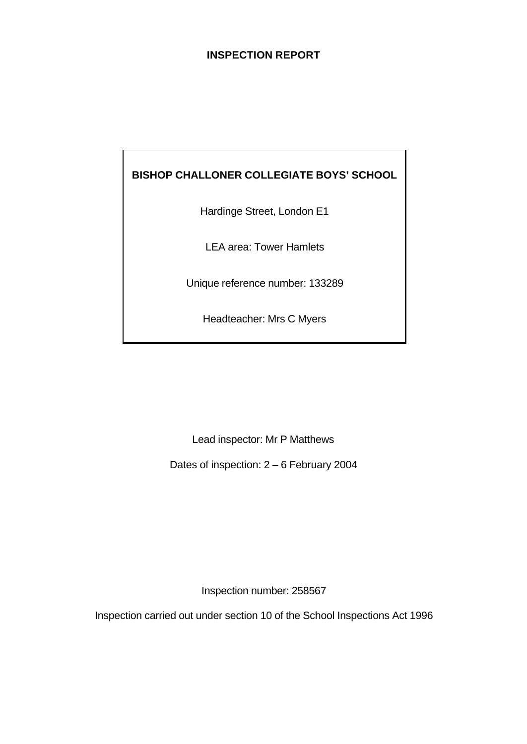## **INSPECTION REPORT**

## **BISHOP CHALLONER COLLEGIATE BOYS' SCHOOL**

Hardinge Street, London E1

LEA area: Tower Hamlets

Unique reference number: 133289

Headteacher: Mrs C Myers

Lead inspector: Mr P Matthews

Dates of inspection: 2 – 6 February 2004

Inspection number: 258567

Inspection carried out under section 10 of the School Inspections Act 1996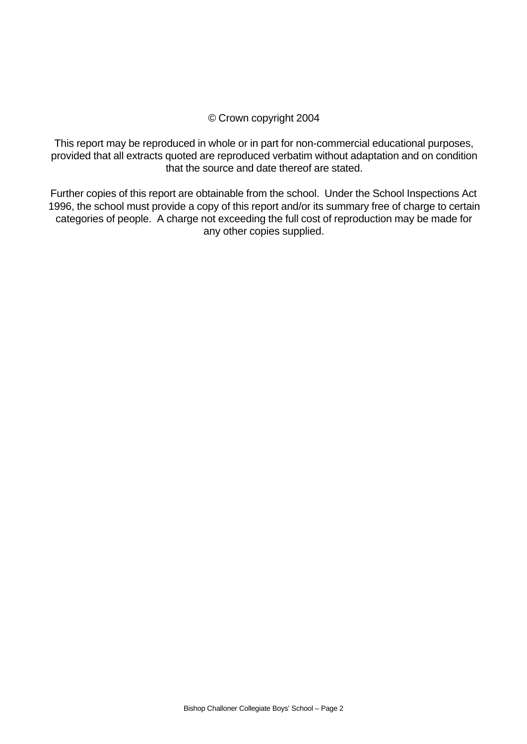#### © Crown copyright 2004

This report may be reproduced in whole or in part for non-commercial educational purposes, provided that all extracts quoted are reproduced verbatim without adaptation and on condition that the source and date thereof are stated.

Further copies of this report are obtainable from the school. Under the School Inspections Act 1996, the school must provide a copy of this report and/or its summary free of charge to certain categories of people. A charge not exceeding the full cost of reproduction may be made for any other copies supplied.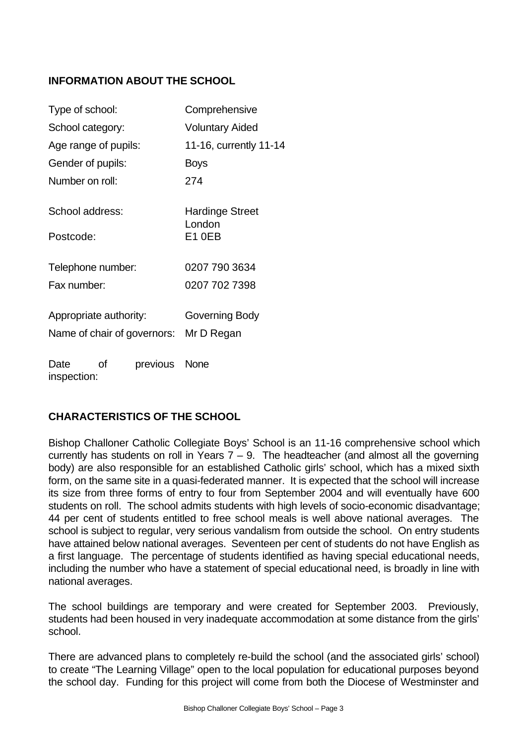## **INFORMATION ABOUT THE SCHOOL**

| Type of school:              |    |               | Comprehensive                       |  |  |
|------------------------------|----|---------------|-------------------------------------|--|--|
| School category:             |    |               | <b>Voluntary Aided</b>              |  |  |
| Age range of pupils:         |    |               | 11-16, currently 11-14              |  |  |
| Gender of pupils:            |    |               | <b>Boys</b>                         |  |  |
| Number on roll:              |    |               | 274                                 |  |  |
| School address:<br>Postcode: |    |               | Hardinge Street<br>London<br>E1 0EB |  |  |
| Telephone number:            |    |               | 0207 790 3634                       |  |  |
| Fax number:                  |    |               | 0207 702 7398                       |  |  |
| Appropriate authority:       |    |               | Governing Body                      |  |  |
| Name of chair of governors:  |    |               | Mr D Regan                          |  |  |
| Date<br>inspection:          | Ωf | previous None |                                     |  |  |

## **CHARACTERISTICS OF THE SCHOOL**

Bishop Challoner Catholic Collegiate Boys' School is an 11-16 comprehensive school which currently has students on roll in Years  $7 - 9$ . The headteacher (and almost all the governing body) are also responsible for an established Catholic girls' school, which has a mixed sixth form, on the same site in a quasi-federated manner. It is expected that the school will increase its size from three forms of entry to four from September 2004 and will eventually have 600 students on roll. The school admits students with high levels of socio-economic disadvantage; 44 per cent of students entitled to free school meals is well above national averages. The school is subject to regular, very serious vandalism from outside the school. On entry students have attained below national averages. Seventeen per cent of students do not have English as a first language. The percentage of students identified as having special educational needs, including the number who have a statement of special educational need, is broadly in line with national averages.

The school buildings are temporary and were created for September 2003. Previously, students had been housed in very inadequate accommodation at some distance from the girls' school.

There are advanced plans to completely re-build the school (and the associated girls' school) to create "The Learning Village" open to the local population for educational purposes beyond the school day. Funding for this project will come from both the Diocese of Westminster and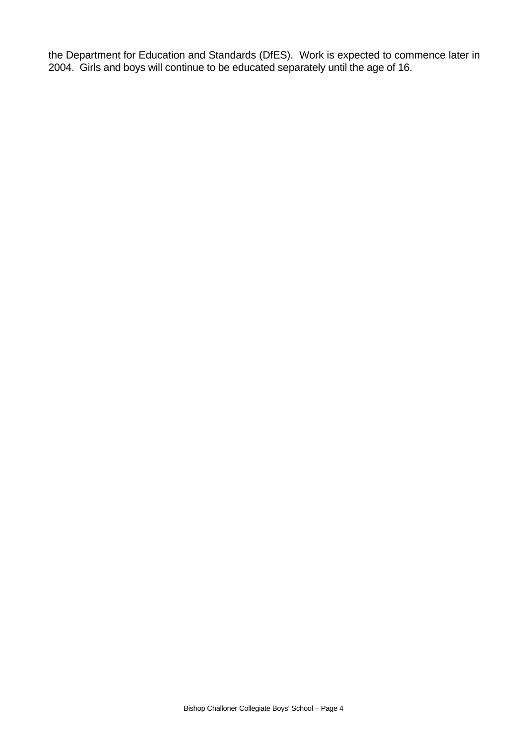the Department for Education and Standards (DfES). Work is expected to commence later in 2004. Girls and boys will continue to be educated separately until the age of 16.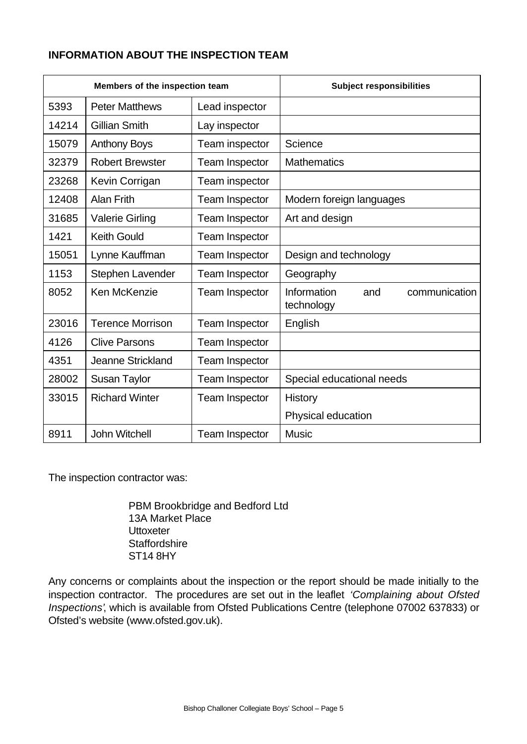## **INFORMATION ABOUT THE INSPECTION TEAM**

| Members of the inspection team |                         |                       | <b>Subject responsibilities</b>                   |
|--------------------------------|-------------------------|-----------------------|---------------------------------------------------|
| 5393                           | <b>Peter Matthews</b>   | Lead inspector        |                                                   |
| 14214                          | <b>Gillian Smith</b>    | Lay inspector         |                                                   |
| 15079                          | <b>Anthony Boys</b>     | Team inspector        | Science                                           |
| 32379                          | <b>Robert Brewster</b>  | Team Inspector        | <b>Mathematics</b>                                |
| 23268                          | Kevin Corrigan          | Team inspector        |                                                   |
| 12408                          | <b>Alan Frith</b>       | Team Inspector        | Modern foreign languages                          |
| 31685                          | <b>Valerie Girling</b>  | <b>Team Inspector</b> | Art and design                                    |
| 1421                           | <b>Keith Gould</b>      | <b>Team Inspector</b> |                                                   |
| 15051                          | Lynne Kauffman          | <b>Team Inspector</b> | Design and technology                             |
| 1153                           | Stephen Lavender        | <b>Team Inspector</b> | Geography                                         |
| 8052                           | Ken McKenzie            | <b>Team Inspector</b> | Information<br>communication<br>and<br>technology |
| 23016                          | <b>Terence Morrison</b> | <b>Team Inspector</b> | English                                           |
| 4126                           | <b>Clive Parsons</b>    | <b>Team Inspector</b> |                                                   |
| 4351                           | Jeanne Strickland       | <b>Team Inspector</b> |                                                   |
| 28002                          | <b>Susan Taylor</b>     | <b>Team Inspector</b> | Special educational needs                         |
| 33015                          | <b>Richard Winter</b>   | <b>Team Inspector</b> | History                                           |
|                                |                         |                       | Physical education                                |
| 8911                           | John Witchell           | <b>Team Inspector</b> | <b>Music</b>                                      |

The inspection contractor was:

PBM Brookbridge and Bedford Ltd 13A Market Place Uttoxeter **Staffordshire** ST14 8HY

Any concerns or complaints about the inspection or the report should be made initially to the inspection contractor. The procedures are set out in the leaflet *'Complaining about Ofsted Inspections'*, which is available from Ofsted Publications Centre (telephone 07002 637833) or Ofsted's website (www.ofsted.gov.uk).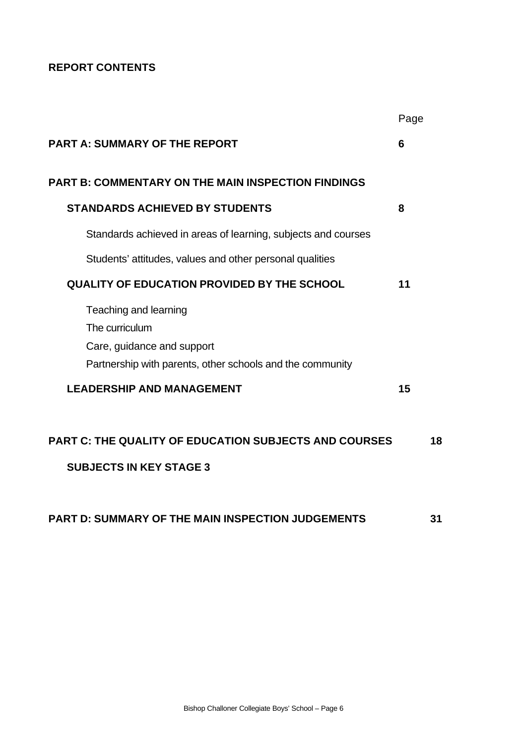## **REPORT CONTENTS**

|                                                               | Page |    |
|---------------------------------------------------------------|------|----|
| <b>PART A: SUMMARY OF THE REPORT</b>                          | 6    |    |
| <b>PART B: COMMENTARY ON THE MAIN INSPECTION FINDINGS</b>     |      |    |
| <b>STANDARDS ACHIEVED BY STUDENTS</b>                         | 8    |    |
| Standards achieved in areas of learning, subjects and courses |      |    |
| Students' attitudes, values and other personal qualities      |      |    |
| <b>QUALITY OF EDUCATION PROVIDED BY THE SCHOOL</b>            | 11   |    |
| Teaching and learning                                         |      |    |
| The curriculum                                                |      |    |
| Care, guidance and support                                    |      |    |
| Partnership with parents, other schools and the community     |      |    |
| <b>LEADERSHIP AND MANAGEMENT</b>                              | 15   |    |
| <b>PART C: THE QUALITY OF EDUCATION SUBJECTS AND COURSES</b>  |      | 18 |
| <b>SUBJECTS IN KEY STAGE 3</b>                                |      |    |
|                                                               |      |    |
|                                                               |      |    |

**PART D: SUMMARY OF THE MAIN INSPECTION JUDGEMENTS 31**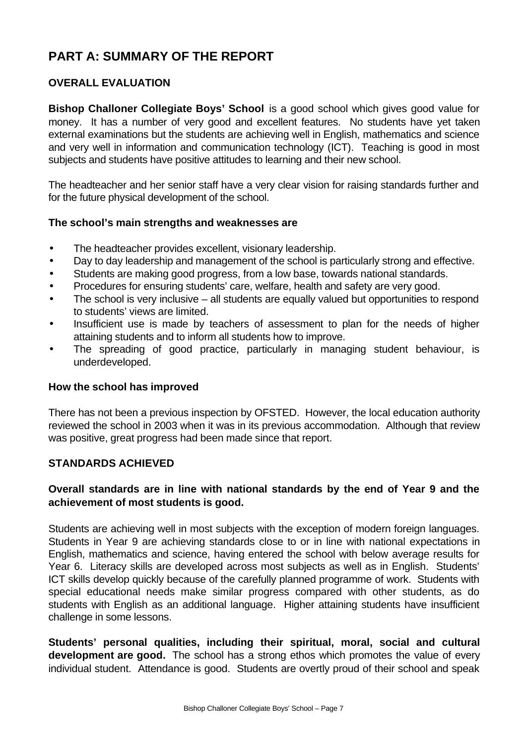# **PART A: SUMMARY OF THE REPORT**

## **OVERALL EVALUATION**

**Bishop Challoner Collegiate Boys' School** is a good school which gives good value for money. It has a number of very good and excellent features. No students have yet taken external examinations but the students are achieving well in English, mathematics and science and very well in information and communication technology (ICT). Teaching is good in most subjects and students have positive attitudes to learning and their new school.

The headteacher and her senior staff have a very clear vision for raising standards further and for the future physical development of the school.

#### **The school's main strengths and weaknesses are**

- The headteacher provides excellent, visionary leadership.
- Day to day leadership and management of the school is particularly strong and effective.
- Students are making good progress, from a low base, towards national standards.
- Procedures for ensuring students' care, welfare, health and safety are very good.
- The school is very inclusive all students are equally valued but opportunities to respond to students' views are limited.
- Insufficient use is made by teachers of assessment to plan for the needs of higher attaining students and to inform all students how to improve.
- The spreading of good practice, particularly in managing student behaviour, is underdeveloped.

#### **How the school has improved**

There has not been a previous inspection by OFSTED. However, the local education authority reviewed the school in 2003 when it was in its previous accommodation. Although that review was positive, great progress had been made since that report.

#### **STANDARDS ACHIEVED**

## **Overall standards are in line with national standards by the end of Year 9 and the achievement of most students is good.**

Students are achieving well in most subjects with the exception of modern foreign languages. Students in Year 9 are achieving standards close to or in line with national expectations in English, mathematics and science, having entered the school with below average results for Year 6. Literacy skills are developed across most subjects as well as in English. Students' ICT skills develop quickly because of the carefully planned programme of work. Students with special educational needs make similar progress compared with other students, as do students with English as an additional language. Higher attaining students have insufficient challenge in some lessons.

**Students' personal qualities, including their spiritual, moral, social and cultural development are good.** The school has a strong ethos which promotes the value of every individual student. Attendance is good. Students are overtly proud of their school and speak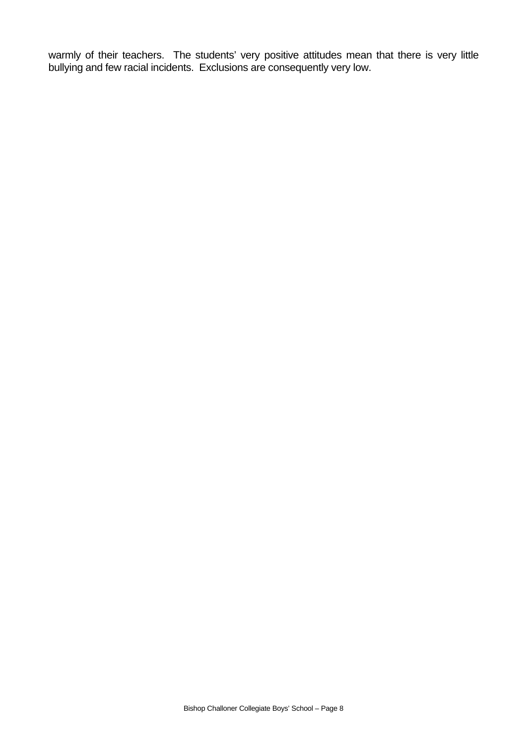warmly of their teachers. The students' very positive attitudes mean that there is very little bullying and few racial incidents. Exclusions are consequently very low.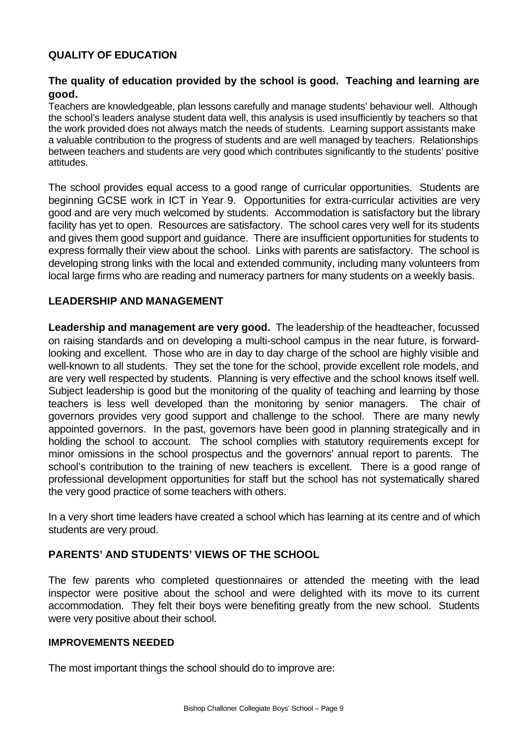## **QUALITY OF EDUCATION**

## **The quality of education provided by the school is good. Teaching and learning are good.**

Teachers are knowledgeable, plan lessons carefully and manage students' behaviour well. Although the school's leaders analyse student data well, this analysis is used insufficiently by teachers so that the work provided does not always match the needs of students. Learning support assistants make a valuable contribution to the progress of students and are well managed by teachers. Relationships between teachers and students are very good which contributes significantly to the students' positive attitudes.

The school provides equal access to a good range of curricular opportunities. Students are beginning GCSE work in ICT in Year 9. Opportunities for extra-curricular activities are very good and are very much welcomed by students. Accommodation is satisfactory but the library facility has yet to open. Resources are satisfactory. The school cares very well for its students and gives them good support and guidance. There are insufficient opportunities for students to express formally their view about the school. Links with parents are satisfactory. The school is developing strong links with the local and extended community, including many volunteers from local large firms who are reading and numeracy partners for many students on a weekly basis.

#### **LEADERSHIP AND MANAGEMENT**

**Leadership and management are very good.** The leadership of the headteacher, focussed on raising standards and on developing a multi-school campus in the near future, is forwardlooking and excellent. Those who are in day to day charge of the school are highly visible and well-known to all students. They set the tone for the school, provide excellent role models, and are very well respected by students. Planning is very effective and the school knows itself well. Subject leadership is good but the monitoring of the quality of teaching and learning by those teachers is less well developed than the monitoring by senior managers. The chair of governors provides very good support and challenge to the school. There are many newly appointed governors. In the past, governors have been good in planning strategically and in holding the school to account. The school complies with statutory requirements except for minor omissions in the school prospectus and the governors' annual report to parents. The school's contribution to the training of new teachers is excellent. There is a good range of professional development opportunities for staff but the school has not systematically shared the very good practice of some teachers with others.

In a very short time leaders have created a school which has learning at its centre and of which students are very proud.

#### **PARENTS' AND STUDENTS' VIEWS OF THE SCHOOL**

The few parents who completed questionnaires or attended the meeting with the lead inspector were positive about the school and were delighted with its move to its current accommodation. They felt their boys were benefiting greatly from the new school. Students were very positive about their school.

#### **IMPROVEMENTS NEEDED**

The most important things the school should do to improve are: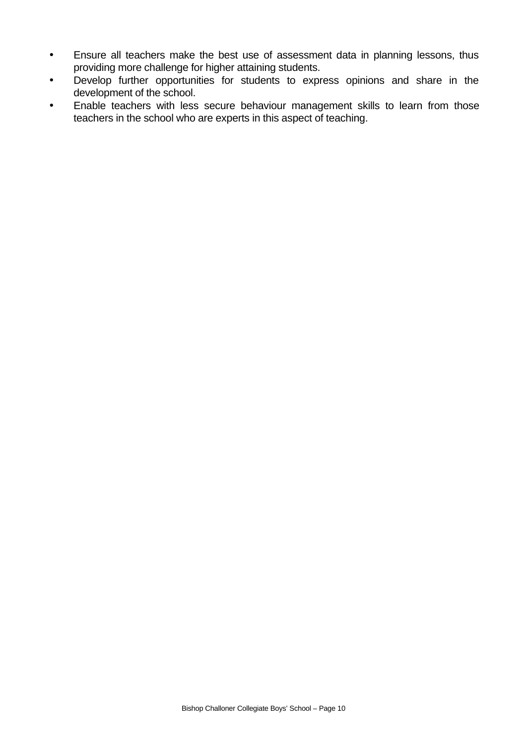- Ensure all teachers make the best use of assessment data in planning lessons, thus providing more challenge for higher attaining students.
- Develop further opportunities for students to express opinions and share in the development of the school.
- Enable teachers with less secure behaviour management skills to learn from those teachers in the school who are experts in this aspect of teaching.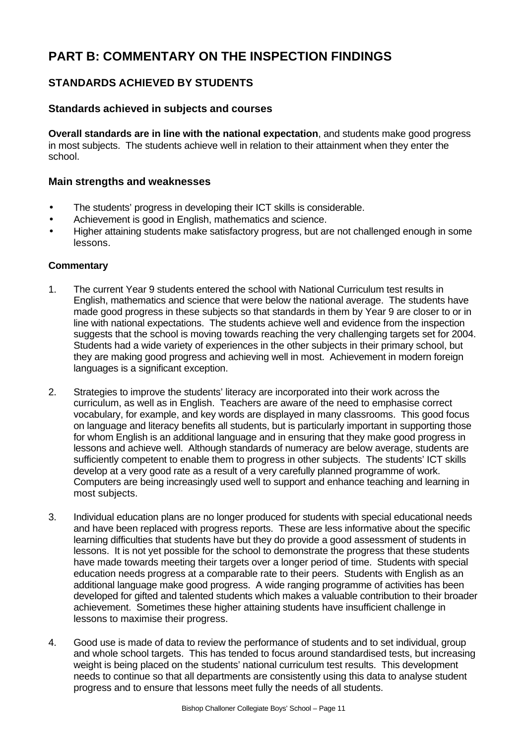# **PART B: COMMENTARY ON THE INSPECTION FINDINGS**

## **STANDARDS ACHIEVED BY STUDENTS**

#### **Standards achieved in subjects and courses**

**Overall standards are in line with the national expectation**, and students make good progress in most subjects. The students achieve well in relation to their attainment when they enter the school.

#### **Main strengths and weaknesses**

- The students' progress in developing their ICT skills is considerable.
- Achievement is good in English, mathematics and science.
- Higher attaining students make satisfactory progress, but are not challenged enough in some lessons.

- 1. The current Year 9 students entered the school with National Curriculum test results in English, mathematics and science that were below the national average. The students have made good progress in these subjects so that standards in them by Year 9 are closer to or in line with national expectations. The students achieve well and evidence from the inspection suggests that the school is moving towards reaching the very challenging targets set for 2004. Students had a wide variety of experiences in the other subjects in their primary school, but they are making good progress and achieving well in most. Achievement in modern foreign languages is a significant exception.
- 2. Strategies to improve the students' literacy are incorporated into their work across the curriculum, as well as in English. Teachers are aware of the need to emphasise correct vocabulary, for example, and key words are displayed in many classrooms. This good focus on language and literacy benefits all students, but is particularly important in supporting those for whom English is an additional language and in ensuring that they make good progress in lessons and achieve well. Although standards of numeracy are below average, students are sufficiently competent to enable them to progress in other subjects. The students' ICT skills develop at a very good rate as a result of a very carefully planned programme of work. Computers are being increasingly used well to support and enhance teaching and learning in most subjects.
- 3. Individual education plans are no longer produced for students with special educational needs and have been replaced with progress reports. These are less informative about the specific learning difficulties that students have but they do provide a good assessment of students in lessons. It is not yet possible for the school to demonstrate the progress that these students have made towards meeting their targets over a longer period of time. Students with special education needs progress at a comparable rate to their peers. Students with English as an additional language make good progress. A wide ranging programme of activities has been developed for gifted and talented students which makes a valuable contribution to their broader achievement. Sometimes these higher attaining students have insufficient challenge in lessons to maximise their progress.
- 4. Good use is made of data to review the performance of students and to set individual, group and whole school targets. This has tended to focus around standardised tests, but increasing weight is being placed on the students' national curriculum test results. This development needs to continue so that all departments are consistently using this data to analyse student progress and to ensure that lessons meet fully the needs of all students.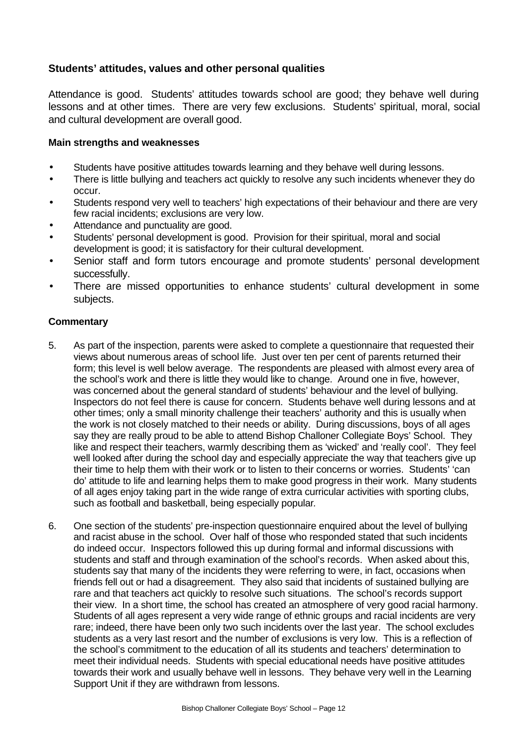## **Students' attitudes, values and other personal qualities**

Attendance is good. Students' attitudes towards school are good; they behave well during lessons and at other times. There are very few exclusions. Students' spiritual, moral, social and cultural development are overall good.

#### **Main strengths and weaknesses**

- Students have positive attitudes towards learning and they behave well during lessons.
- There is little bullying and teachers act quickly to resolve any such incidents whenever they do occur.
- Students respond very well to teachers' high expectations of their behaviour and there are very few racial incidents; exclusions are very low.
- Attendance and punctuality are good.
- Students' personal development is good. Provision for their spiritual, moral and social development is good; it is satisfactory for their cultural development.
- Senior staff and form tutors encourage and promote students' personal development successfully.
- There are missed opportunities to enhance students' cultural development in some subjects.

- 5. As part of the inspection, parents were asked to complete a questionnaire that requested their views about numerous areas of school life. Just over ten per cent of parents returned their form; this level is well below average. The respondents are pleased with almost every area of the school's work and there is little they would like to change. Around one in five, however, was concerned about the general standard of students' behaviour and the level of bullying. Inspectors do not feel there is cause for concern. Students behave well during lessons and at other times; only a small minority challenge their teachers' authority and this is usually when the work is not closely matched to their needs or ability. During discussions, boys of all ages say they are really proud to be able to attend Bishop Challoner Collegiate Boys' School. They like and respect their teachers, warmly describing them as 'wicked' and 'really cool'. They feel well looked after during the school day and especially appreciate the way that teachers give up their time to help them with their work or to listen to their concerns or worries. Students' 'can do' attitude to life and learning helps them to make good progress in their work. Many students of all ages enjoy taking part in the wide range of extra curricular activities with sporting clubs, such as football and basketball, being especially popular*.*
- 6. One section of the students' pre-inspection questionnaire enquired about the level of bullying and racist abuse in the school. Over half of those who responded stated that such incidents do indeed occur. Inspectors followed this up during formal and informal discussions with students and staff and through examination of the school's records. When asked about this, students say that many of the incidents they were referring to were, in fact, occasions when friends fell out or had a disagreement. They also said that incidents of sustained bullying are rare and that teachers act quickly to resolve such situations. The school's records support their view. In a short time, the school has created an atmosphere of very good racial harmony. Students of all ages represent a very wide range of ethnic groups and racial incidents are very rare; indeed, there have been only two such incidents over the last year. The school excludes students as a very last resort and the number of exclusions is very low. This is a reflection of the school's commitment to the education of all its students and teachers' determination to meet their individual needs. Students with special educational needs have positive attitudes towards their work and usually behave well in lessons. They behave very well in the Learning Support Unit if they are withdrawn from lessons.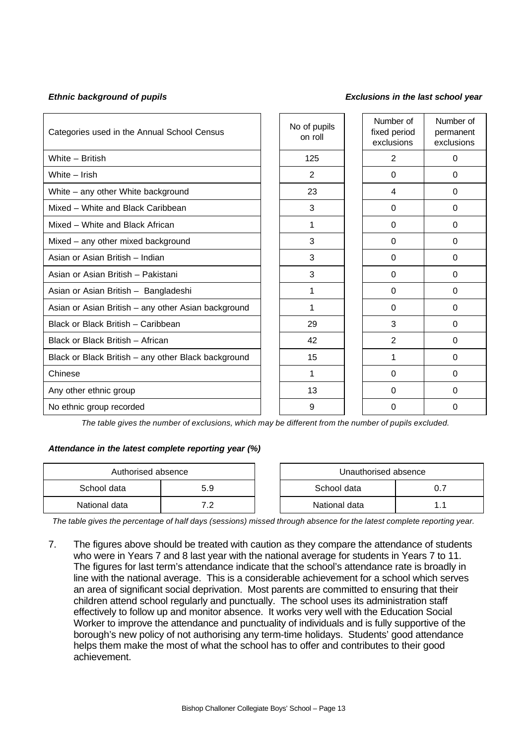#### *Ethnic background of pupils Exclusions in the last school year*

| Categories used in the Annual School Census         | No of pupils<br>on roll | Number of<br>fixed period<br>exclusions | Number of<br>permanent<br>exclusions |
|-----------------------------------------------------|-------------------------|-----------------------------------------|--------------------------------------|
| White - British                                     | 125                     | $\mathbf{2}$                            | $\Omega$                             |
| White - Irish                                       | $\overline{2}$          | $\Omega$                                | 0                                    |
| White - any other White background                  | 23                      | 4                                       | $\Omega$                             |
| Mixed - White and Black Caribbean                   | 3                       | $\Omega$                                | $\Omega$                             |
| Mixed - White and Black African                     | 1                       | 0                                       | 0                                    |
| Mixed - any other mixed background                  | 3                       | $\Omega$                                | $\Omega$                             |
| Asian or Asian British - Indian                     | 3                       | 0                                       | 0                                    |
| Asian or Asian British - Pakistani                  | 3                       | $\Omega$                                | $\Omega$                             |
| Asian or Asian British - Bangladeshi                | 1                       | 0                                       | 0                                    |
| Asian or Asian British - any other Asian background | 1                       | $\Omega$                                | $\Omega$                             |
| Black or Black British - Caribbean                  | 29                      | 3                                       | 0                                    |
| Black or Black British - African                    | 42                      | $\overline{2}$                          | $\Omega$                             |
| Black or Black British - any other Black background | 15                      | 1                                       | 0                                    |
| Chinese                                             | 1                       | $\Omega$                                | $\Omega$                             |
| Any other ethnic group                              | 13                      | 0                                       | 0                                    |
| No ethnic group recorded                            | 9                       | $\Omega$                                | $\Omega$                             |

*The table gives the number of exclusions, which may be different from the number of pupils excluded.*

#### *Attendance in the latest complete reporting year (%)*

| Authorised absence |            |  | Unauthorised absence |  |
|--------------------|------------|--|----------------------|--|
| School data        | 5.9        |  | School data          |  |
| National data      | . <u>.</u> |  | National data        |  |

*The table gives the percentage of half days (sessions) missed through absence for the latest complete reporting year.*

7. The figures above should be treated with caution as they compare the attendance of students who were in Years 7 and 8 last year with the national average for students in Years 7 to 11. The figures for last term's attendance indicate that the school's attendance rate is broadly in line with the national average. This is a considerable achievement for a school which serves an area of significant social deprivation. Most parents are committed to ensuring that their children attend school regularly and punctually. The school uses its administration staff effectively to follow up and monitor absence. It works very well with the Education Social Worker to improve the attendance and punctuality of individuals and is fully supportive of the borough's new policy of not authorising any term-time holidays. Students' good attendance helps them make the most of what the school has to offer and contributes to their good achievement.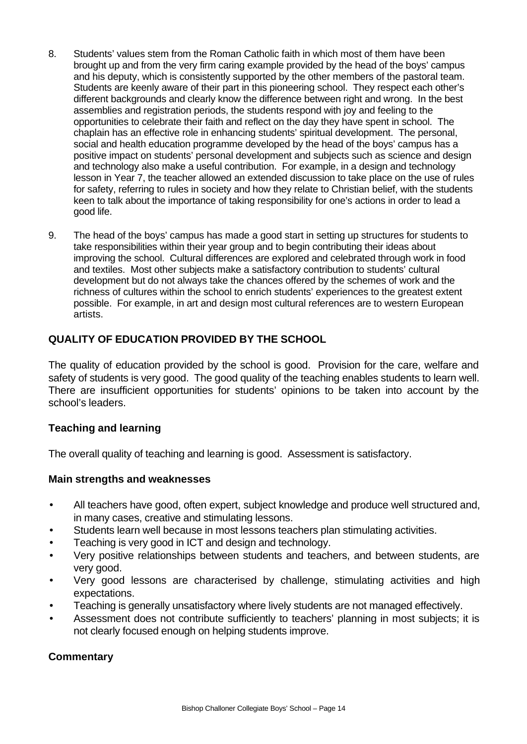- 8. Students' values stem from the Roman Catholic faith in which most of them have been brought up and from the very firm caring example provided by the head of the boys' campus and his deputy, which is consistently supported by the other members of the pastoral team. Students are keenly aware of their part in this pioneering school. They respect each other's different backgrounds and clearly know the difference between right and wrong. In the best assemblies and registration periods, the students respond with joy and feeling to the opportunities to celebrate their faith and reflect on the day they have spent in school. The chaplain has an effective role in enhancing students' spiritual development. The personal, social and health education programme developed by the head of the boys' campus has a positive impact on students' personal development and subjects such as science and design and technology also make a useful contribution. For example, in a design and technology lesson in Year 7, the teacher allowed an extended discussion to take place on the use of rules for safety, referring to rules in society and how they relate to Christian belief, with the students keen to talk about the importance of taking responsibility for one's actions in order to lead a good life.
- 9. The head of the boys' campus has made a good start in setting up structures for students to take responsibilities within their year group and to begin contributing their ideas about improving the school. Cultural differences are explored and celebrated through work in food and textiles. Most other subjects make a satisfactory contribution to students' cultural development but do not always take the chances offered by the schemes of work and the richness of cultures within the school to enrich students' experiences to the greatest extent possible. For example, in art and design most cultural references are to western European artists.

## **QUALITY OF EDUCATION PROVIDED BY THE SCHOOL**

The quality of education provided by the school is good. Provision for the care, welfare and safety of students is very good. The good quality of the teaching enables students to learn well. There are insufficient opportunities for students' opinions to be taken into account by the school's leaders.

## **Teaching and learning**

The overall quality of teaching and learning is good. Assessment is satisfactory.

#### **Main strengths and weaknesses**

- All teachers have good, often expert, subject knowledge and produce well structured and, in many cases, creative and stimulating lessons.
- Students learn well because in most lessons teachers plan stimulating activities.
- Teaching is very good in ICT and design and technology.
- Very positive relationships between students and teachers, and between students, are very good.
- Very good lessons are characterised by challenge, stimulating activities and high expectations.
- Teaching is generally unsatisfactory where lively students are not managed effectively.
- Assessment does not contribute sufficiently to teachers' planning in most subjects; it is not clearly focused enough on helping students improve.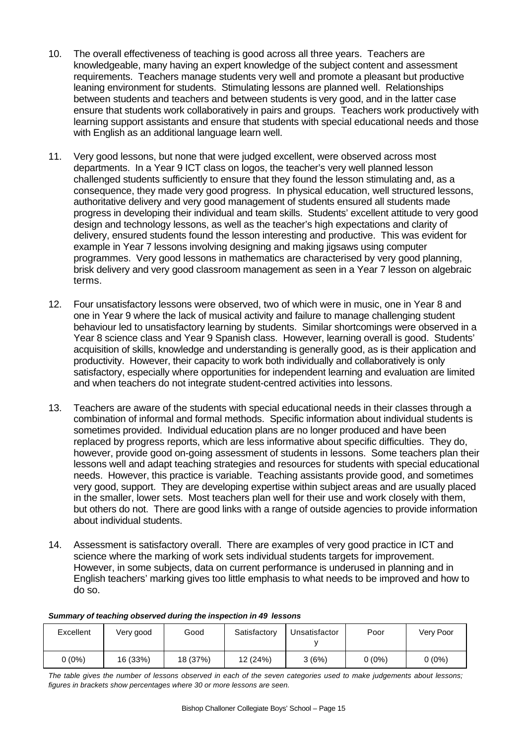- 10. The overall effectiveness of teaching is good across all three years. Teachers are knowledgeable, many having an expert knowledge of the subject content and assessment requirements. Teachers manage students very well and promote a pleasant but productive leaning environment for students. Stimulating lessons are planned well. Relationships between students and teachers and between students is very good, and in the latter case ensure that students work collaboratively in pairs and groups. Teachers work productively with learning support assistants and ensure that students with special educational needs and those with English as an additional language learn well.
- 11. Very good lessons, but none that were judged excellent, were observed across most departments. In a Year 9 ICT class on logos, the teacher's very well planned lesson challenged students sufficiently to ensure that they found the lesson stimulating and, as a consequence, they made very good progress. In physical education, well structured lessons, authoritative delivery and very good management of students ensured all students made progress in developing their individual and team skills. Students' excellent attitude to very good design and technology lessons, as well as the teacher's high expectations and clarity of delivery, ensured students found the lesson interesting and productive. This was evident for example in Year 7 lessons involving designing and making jigsaws using computer programmes. Very good lessons in mathematics are characterised by very good planning, brisk delivery and very good classroom management as seen in a Year 7 lesson on algebraic terms.
- 12. Four unsatisfactory lessons were observed, two of which were in music, one in Year 8 and one in Year 9 where the lack of musical activity and failure to manage challenging student behaviour led to unsatisfactory learning by students. Similar shortcomings were observed in a Year 8 science class and Year 9 Spanish class. However, learning overall is good. Students' acquisition of skills, knowledge and understanding is generally good, as is their application and productivity. However, their capacity to work both individually and collaboratively is only satisfactory, especially where opportunities for independent learning and evaluation are limited and when teachers do not integrate student-centred activities into lessons.
- 13. Teachers are aware of the students with special educational needs in their classes through a combination of informal and formal methods. Specific information about individual students is sometimes provided. Individual education plans are no longer produced and have been replaced by progress reports, which are less informative about specific difficulties. They do, however, provide good on-going assessment of students in lessons. Some teachers plan their lessons well and adapt teaching strategies and resources for students with special educational needs. However, this practice is variable. Teaching assistants provide good, and sometimes very good, support. They are developing expertise within subject areas and are usually placed in the smaller, lower sets. Most teachers plan well for their use and work closely with them, but others do not. There are good links with a range of outside agencies to provide information about individual students.
- 14. Assessment is satisfactory overall. There are examples of very good practice in ICT and science where the marking of work sets individual students targets for improvement. However, in some subjects, data on current performance is underused in planning and in English teachers' marking gives too little emphasis to what needs to be improved and how to do so.

#### *Summary of teaching observed during the inspection in 49 lessons*

| Excellent | Very good | Good     | Satisfactory | Unsatisfactor | Poor     | Very Poor |
|-----------|-----------|----------|--------------|---------------|----------|-----------|
| $0(0\%)$  | 16 (33%)  | 18 (37%) | 12 (24%)     | 3(6%)         | $0(0\%)$ | $0(0\%)$  |

*The table gives the number of lessons observed in each of the seven categories used to make judgements about lessons; figures in brackets show percentages where 30 or more lessons are seen.*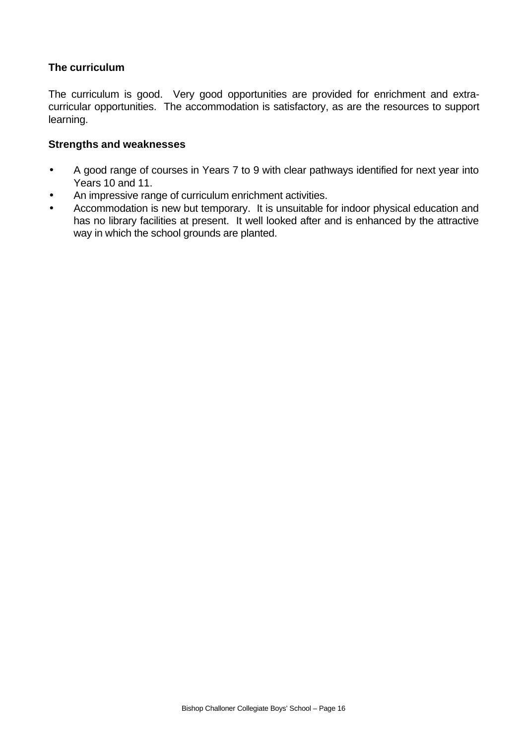## **The curriculum**

The curriculum is good. Very good opportunities are provided for enrichment and extracurricular opportunities. The accommodation is satisfactory, as are the resources to support learning.

#### **Strengths and weaknesses**

- A good range of courses in Years 7 to 9 with clear pathways identified for next year into Years 10 and 11.
- An impressive range of curriculum enrichment activities.
- Accommodation is new but temporary. It is unsuitable for indoor physical education and has no library facilities at present. It well looked after and is enhanced by the attractive way in which the school grounds are planted.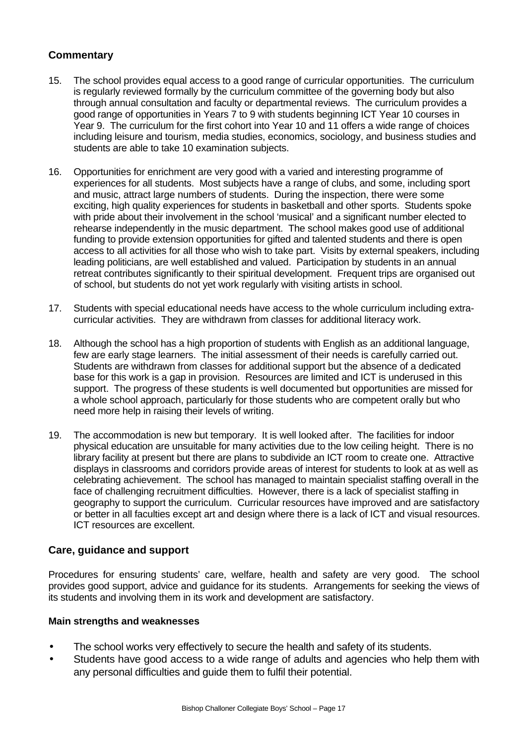## **Commentary**

- 15. The school provides equal access to a good range of curricular opportunities. The curriculum is regularly reviewed formally by the curriculum committee of the governing body but also through annual consultation and faculty or departmental reviews. The curriculum provides a good range of opportunities in Years 7 to 9 with students beginning ICT Year 10 courses in Year 9. The curriculum for the first cohort into Year 10 and 11 offers a wide range of choices including leisure and tourism, media studies, economics, sociology, and business studies and students are able to take 10 examination subjects.
- 16. Opportunities for enrichment are very good with a varied and interesting programme of experiences for all students. Most subjects have a range of clubs, and some, including sport and music, attract large numbers of students. During the inspection, there were some exciting, high quality experiences for students in basketball and other sports. Students spoke with pride about their involvement in the school 'musical' and a significant number elected to rehearse independently in the music department. The school makes good use of additional funding to provide extension opportunities for gifted and talented students and there is open access to all activities for all those who wish to take part. Visits by external speakers, including leading politicians, are well established and valued. Participation by students in an annual retreat contributes significantly to their spiritual development. Frequent trips are organised out of school, but students do not yet work regularly with visiting artists in school.
- 17. Students with special educational needs have access to the whole curriculum including extracurricular activities. They are withdrawn from classes for additional literacy work.
- 18. Although the school has a high proportion of students with English as an additional language, few are early stage learners. The initial assessment of their needs is carefully carried out. Students are withdrawn from classes for additional support but the absence of a dedicated base for this work is a gap in provision. Resources are limited and ICT is underused in this support. The progress of these students is well documented but opportunities are missed for a whole school approach, particularly for those students who are competent orally but who need more help in raising their levels of writing.
- 19. The accommodation is new but temporary. It is well looked after. The facilities for indoor physical education are unsuitable for many activities due to the low ceiling height. There is no library facility at present but there are plans to subdivide an ICT room to create one. Attractive displays in classrooms and corridors provide areas of interest for students to look at as well as celebrating achievement. The school has managed to maintain specialist staffing overall in the face of challenging recruitment difficulties. However, there is a lack of specialist staffing in geography to support the curriculum. Curricular resources have improved and are satisfactory or better in all faculties except art and design where there is a lack of ICT and visual resources. ICT resources are excellent.

#### **Care, guidance and support**

Procedures for ensuring students' care, welfare, health and safety are very good. The school provides good support, advice and guidance for its students. Arrangements for seeking the views of its students and involving them in its work and development are satisfactory.

#### **Main strengths and weaknesses**

- The school works very effectively to secure the health and safety of its students.
- Students have good access to a wide range of adults and agencies who help them with any personal difficulties and guide them to fulfil their potential.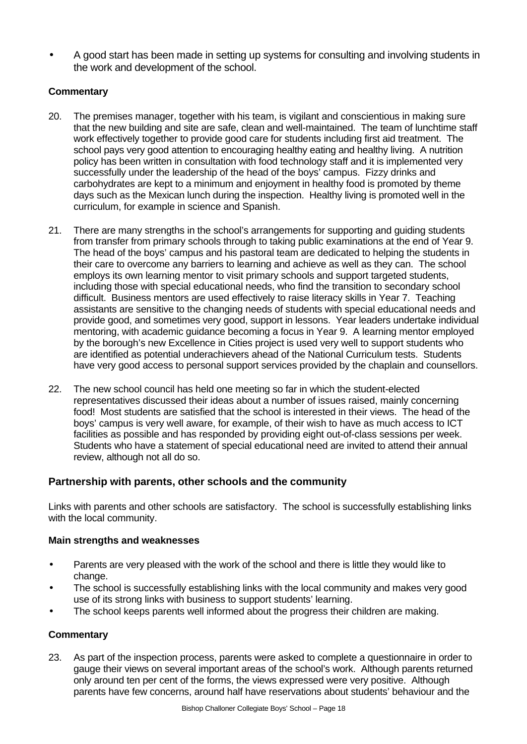• A good start has been made in setting up systems for consulting and involving students in the work and development of the school.

## **Commentary**

- 20. The premises manager, together with his team, is vigilant and conscientious in making sure that the new building and site are safe, clean and well-maintained. The team of lunchtime staff work effectively together to provide good care for students including first aid treatment. The school pays very good attention to encouraging healthy eating and healthy living. A nutrition policy has been written in consultation with food technology staff and it is implemented very successfully under the leadership of the head of the boys' campus. Fizzy drinks and carbohydrates are kept to a minimum and enjoyment in healthy food is promoted by theme days such as the Mexican lunch during the inspection. Healthy living is promoted well in the curriculum, for example in science and Spanish.
- 21. There are many strengths in the school's arrangements for supporting and guiding students from transfer from primary schools through to taking public examinations at the end of Year 9. The head of the boys' campus and his pastoral team are dedicated to helping the students in their care to overcome any barriers to learning and achieve as well as they can. The school employs its own learning mentor to visit primary schools and support targeted students, including those with special educational needs, who find the transition to secondary school difficult. Business mentors are used effectively to raise literacy skills in Year 7. Teaching assistants are sensitive to the changing needs of students with special educational needs and provide good, and sometimes very good, support in lessons. Year leaders undertake individual mentoring, with academic guidance becoming a focus in Year 9. A learning mentor employed by the borough's new Excellence in Cities project is used very well to support students who are identified as potential underachievers ahead of the National Curriculum tests. Students have very good access to personal support services provided by the chaplain and counsellors.
- 22. The new school council has held one meeting so far in which the student-elected representatives discussed their ideas about a number of issues raised, mainly concerning food! Most students are satisfied that the school is interested in their views. The head of the boys' campus is very well aware, for example, of their wish to have as much access to ICT facilities as possible and has responded by providing eight out-of-class sessions per week. Students who have a statement of special educational need are invited to attend their annual review, although not all do so.

## **Partnership with parents, other schools and the community**

Links with parents and other schools are satisfactory. The school is successfully establishing links with the local community.

#### **Main strengths and weaknesses**

- Parents are very pleased with the work of the school and there is little they would like to change.
- The school is successfully establishing links with the local community and makes very good use of its strong links with business to support students' learning.
- The school keeps parents well informed about the progress their children are making.

#### **Commentary**

23. As part of the inspection process, parents were asked to complete a questionnaire in order to gauge their views on several important areas of the school's work. Although parents returned only around ten per cent of the forms, the views expressed were very positive. Although parents have few concerns, around half have reservations about students' behaviour and the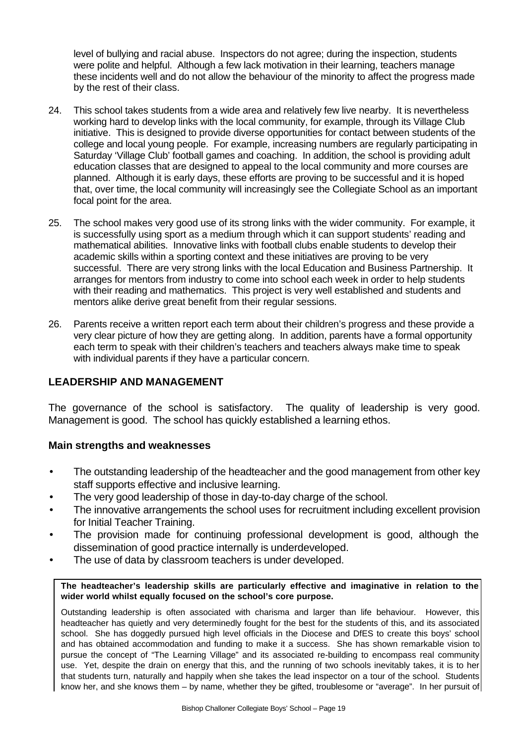level of bullying and racial abuse. Inspectors do not agree; during the inspection, students were polite and helpful. Although a few lack motivation in their learning, teachers manage these incidents well and do not allow the behaviour of the minority to affect the progress made by the rest of their class.

- 24. This school takes students from a wide area and relatively few live nearby. It is nevertheless working hard to develop links with the local community, for example, through its Village Club initiative. This is designed to provide diverse opportunities for contact between students of the college and local young people. For example, increasing numbers are regularly participating in Saturday 'Village Club' football games and coaching. In addition, the school is providing adult education classes that are designed to appeal to the local community and more courses are planned. Although it is early days, these efforts are proving to be successful and it is hoped that, over time, the local community will increasingly see the Collegiate School as an important focal point for the area.
- 25. The school makes very good use of its strong links with the wider community. For example, it is successfully using sport as a medium through which it can support students' reading and mathematical abilities. Innovative links with football clubs enable students to develop their academic skills within a sporting context and these initiatives are proving to be very successful. There are very strong links with the local Education and Business Partnership. It arranges for mentors from industry to come into school each week in order to help students with their reading and mathematics. This project is very well established and students and mentors alike derive great benefit from their regular sessions.
- 26. Parents receive a written report each term about their children's progress and these provide a very clear picture of how they are getting along. In addition, parents have a formal opportunity each term to speak with their children's teachers and teachers always make time to speak with individual parents if they have a particular concern.

#### **LEADERSHIP AND MANAGEMENT**

The governance of the school is satisfactory. The quality of leadership is very good. Management is good. The school has quickly established a learning ethos.

#### **Main strengths and weaknesses**

- The outstanding leadership of the headteacher and the good management from other key staff supports effective and inclusive learning.
- The very good leadership of those in day-to-day charge of the school.
- The innovative arrangements the school uses for recruitment including excellent provision for Initial Teacher Training.
- The provision made for continuing professional development is good, although the dissemination of good practice internally is underdeveloped.
- The use of data by classroom teachers is under developed.

**The headteacher's leadership skills are particularly effective and imaginative in relation to the wider world whilst equally focused on the school's core purpose.**

Outstanding leadership is often associated with charisma and larger than life behaviour. However, this headteacher has quietly and very determinedly fought for the best for the students of this, and its associated school. She has doggedly pursued high level officials in the Diocese and DfES to create this boys' school and has obtained accommodation and funding to make it a success. She has shown remarkable vision to pursue the concept of "The Learning Village" and its associated re-building to encompass real community use. Yet, despite the drain on energy that this, and the running of two schools inevitably takes, it is to her that students turn, naturally and happily when she takes the lead inspector on a tour of the school. Students know her, and she knows them – by name, whether they be gifted, troublesome or "average". In her pursuit of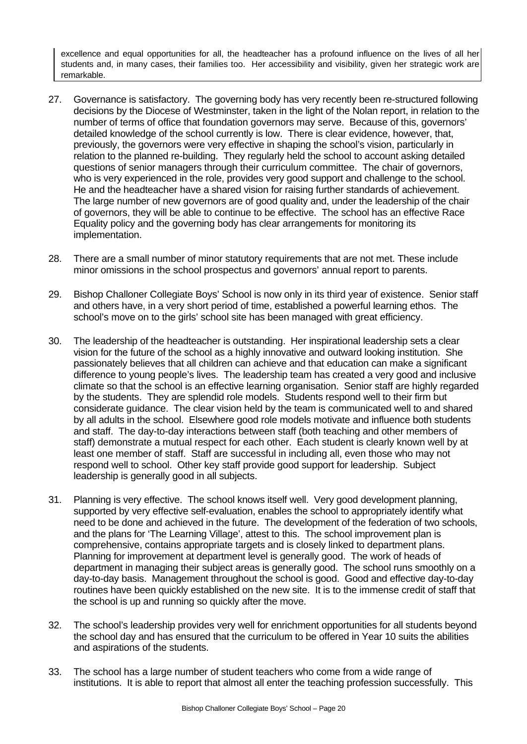excellence and equal opportunities for all, the headteacher has a profound influence on the lives of all her students and, in many cases, their families too. Her accessibility and visibility, given her strategic work are remarkable.

- 27. Governance is satisfactory. The governing body has very recently been re-structured following decisions by the Diocese of Westminster, taken in the light of the Nolan report, in relation to the number of terms of office that foundation governors may serve. Because of this, governors' detailed knowledge of the school currently is low. There is clear evidence, however, that, previously, the governors were very effective in shaping the school's vision, particularly in relation to the planned re-building. They regularly held the school to account asking detailed questions of senior managers through their curriculum committee. The chair of governors, who is very experienced in the role, provides very good support and challenge to the school. He and the headteacher have a shared vision for raising further standards of achievement. The large number of new governors are of good quality and, under the leadership of the chair of governors, they will be able to continue to be effective. The school has an effective Race Equality policy and the governing body has clear arrangements for monitoring its implementation.
- 28. There are a small number of minor statutory requirements that are not met. These include minor omissions in the school prospectus and governors' annual report to parents.
- 29. Bishop Challoner Collegiate Boys' School is now only in its third year of existence. Senior staff and others have, in a very short period of time, established a powerful learning ethos. The school's move on to the girls' school site has been managed with great efficiency.
- 30. The leadership of the headteacher is outstanding. Her inspirational leadership sets a clear vision for the future of the school as a highly innovative and outward looking institution. She passionately believes that all children can achieve and that education can make a significant difference to young people's lives. The leadership team has created a very good and inclusive climate so that the school is an effective learning organisation. Senior staff are highly regarded by the students. They are splendid role models. Students respond well to their firm but considerate guidance. The clear vision held by the team is communicated well to and shared by all adults in the school. Elsewhere good role models motivate and influence both students and staff. The day-to-day interactions between staff (both teaching and other members of staff) demonstrate a mutual respect for each other. Each student is clearly known well by at least one member of staff. Staff are successful in including all, even those who may not respond well to school. Other key staff provide good support for leadership. Subject leadership is generally good in all subjects.
- 31. Planning is very effective. The school knows itself well. Very good development planning, supported by very effective self-evaluation, enables the school to appropriately identify what need to be done and achieved in the future. The development of the federation of two schools, and the plans for 'The Learning Village', attest to this. The school improvement plan is comprehensive, contains appropriate targets and is closely linked to department plans. Planning for improvement at department level is generally good. The work of heads of department in managing their subject areas is generally good. The school runs smoothly on a day-to-day basis. Management throughout the school is good. Good and effective day-to-day routines have been quickly established on the new site. It is to the immense credit of staff that the school is up and running so quickly after the move.
- 32. The school's leadership provides very well for enrichment opportunities for all students beyond the school day and has ensured that the curriculum to be offered in Year 10 suits the abilities and aspirations of the students.
- 33. The school has a large number of student teachers who come from a wide range of institutions. It is able to report that almost all enter the teaching profession successfully. This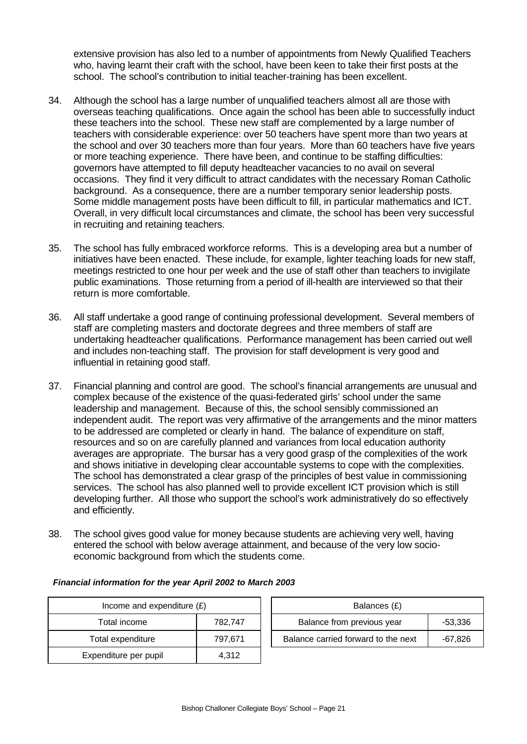extensive provision has also led to a number of appointments from Newly Qualified Teachers who, having learnt their craft with the school, have been keen to take their first posts at the school. The school's contribution to initial teacher-training has been excellent.

- 34. Although the school has a large number of unqualified teachers almost all are those with overseas teaching qualifications. Once again the school has been able to successfully induct these teachers into the school. These new staff are complemented by a large number of teachers with considerable experience: over 50 teachers have spent more than two years at the school and over 30 teachers more than four years. More than 60 teachers have five years or more teaching experience. There have been, and continue to be staffing difficulties: governors have attempted to fill deputy headteacher vacancies to no avail on several occasions. They find it very difficult to attract candidates with the necessary Roman Catholic background. As a consequence, there are a number temporary senior leadership posts. Some middle management posts have been difficult to fill, in particular mathematics and ICT. Overall, in very difficult local circumstances and climate, the school has been very successful in recruiting and retaining teachers.
- 35. The school has fully embraced workforce reforms. This is a developing area but a number of initiatives have been enacted. These include, for example, lighter teaching loads for new staff, meetings restricted to one hour per week and the use of staff other than teachers to invigilate public examinations. Those returning from a period of ill-health are interviewed so that their return is more comfortable.
- 36. All staff undertake a good range of continuing professional development. Several members of staff are completing masters and doctorate degrees and three members of staff are undertaking headteacher qualifications. Performance management has been carried out well and includes non-teaching staff. The provision for staff development is very good and influential in retaining good staff.
- 37. Financial planning and control are good. The school's financial arrangements are unusual and complex because of the existence of the quasi-federated girls' school under the same leadership and management. Because of this, the school sensibly commissioned an independent audit. The report was very affirmative of the arrangements and the minor matters to be addressed are completed or clearly in hand. The balance of expenditure on staff, resources and so on are carefully planned and variances from local education authority averages are appropriate. The bursar has a very good grasp of the complexities of the work and shows initiative in developing clear accountable systems to cope with the complexities. The school has demonstrated a clear grasp of the principles of best value in commissioning services. The school has also planned well to provide excellent ICT provision which is still developing further. All those who support the school's work administratively do so effectively and efficiently.
- 38. The school gives good value for money because students are achieving very well, having entered the school with below average attainment, and because of the very low socioeconomic background from which the students come.

| Income and expenditure $(E)$ | Balances (£)               |                                |
|------------------------------|----------------------------|--------------------------------|
| Total income                 | Balance from previous year |                                |
| Total expenditure            | 797,671                    | Balance carried forward to the |
| Expenditure per pupil        | 4.312                      |                                |

| Income and expenditure $(E)$ |         | Balances (£)                        |         |  |
|------------------------------|---------|-------------------------------------|---------|--|
| Total income                 | 782.747 | Balance from previous year          | -53,336 |  |
| Total expenditure            | 797.671 | Balance carried forward to the next | -67,826 |  |

#### *Financial information for the year April 2002 to March 2003*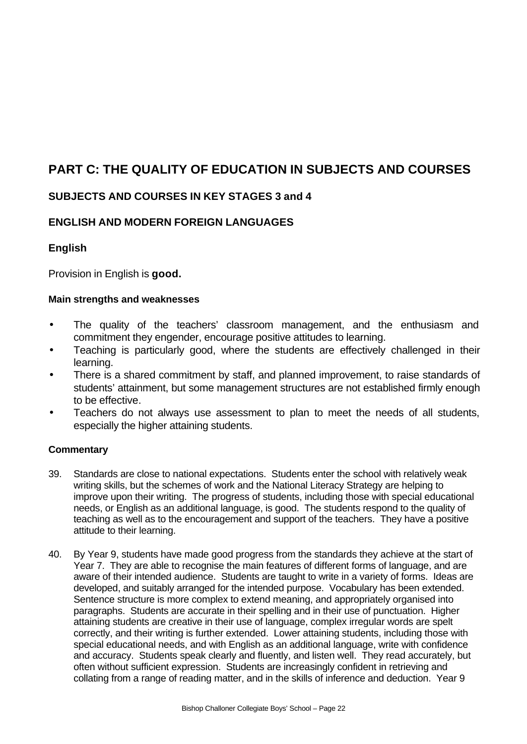# **PART C: THE QUALITY OF EDUCATION IN SUBJECTS AND COURSES**

## **SUBJECTS AND COURSES IN KEY STAGES 3 and 4**

## **ENGLISH AND MODERN FOREIGN LANGUAGES**

## **English**

Provision in English is **good.**

#### **Main strengths and weaknesses**

- The quality of the teachers' classroom management, and the enthusiasm and commitment they engender, encourage positive attitudes to learning.
- Teaching is particularly good, where the students are effectively challenged in their learning.
- There is a shared commitment by staff, and planned improvement, to raise standards of students' attainment, but some management structures are not established firmly enough to be effective.
- Teachers do not always use assessment to plan to meet the needs of all students, especially the higher attaining students.

- 39. Standards are close to national expectations. Students enter the school with relatively weak writing skills, but the schemes of work and the National Literacy Strategy are helping to improve upon their writing. The progress of students, including those with special educational needs, or English as an additional language, is good. The students respond to the quality of teaching as well as to the encouragement and support of the teachers. They have a positive attitude to their learning.
- 40. By Year 9, students have made good progress from the standards they achieve at the start of Year 7. They are able to recognise the main features of different forms of language, and are aware of their intended audience. Students are taught to write in a variety of forms. Ideas are developed, and suitably arranged for the intended purpose. Vocabulary has been extended. Sentence structure is more complex to extend meaning, and appropriately organised into paragraphs. Students are accurate in their spelling and in their use of punctuation. Higher attaining students are creative in their use of language, complex irregular words are spelt correctly, and their writing is further extended. Lower attaining students, including those with special educational needs, and with English as an additional language, write with confidence and accuracy. Students speak clearly and fluently, and listen well. They read accurately, but often without sufficient expression. Students are increasingly confident in retrieving and collating from a range of reading matter, and in the skills of inference and deduction. Year 9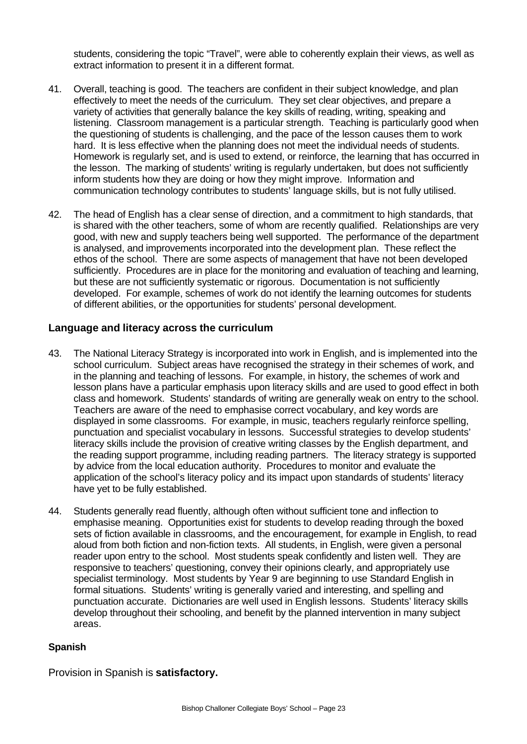students, considering the topic "Travel", were able to coherently explain their views, as well as extract information to present it in a different format.

- 41. Overall, teaching is good. The teachers are confident in their subject knowledge, and plan effectively to meet the needs of the curriculum. They set clear objectives, and prepare a variety of activities that generally balance the key skills of reading, writing, speaking and listening. Classroom management is a particular strength. Teaching is particularly good when the questioning of students is challenging, and the pace of the lesson causes them to work hard. It is less effective when the planning does not meet the individual needs of students. Homework is regularly set, and is used to extend, or reinforce, the learning that has occurred in the lesson. The marking of students' writing is regularly undertaken, but does not sufficiently inform students how they are doing or how they might improve. Information and communication technology contributes to students' language skills, but is not fully utilised.
- 42. The head of English has a clear sense of direction, and a commitment to high standards, that is shared with the other teachers, some of whom are recently qualified. Relationships are very good, with new and supply teachers being well supported. The performance of the department is analysed, and improvements incorporated into the development plan. These reflect the ethos of the school. There are some aspects of management that have not been developed sufficiently. Procedures are in place for the monitoring and evaluation of teaching and learning, but these are not sufficiently systematic or rigorous. Documentation is not sufficiently developed. For example, schemes of work do not identify the learning outcomes for students of different abilities, or the opportunities for students' personal development.

#### **Language and literacy across the curriculum**

- 43. The National Literacy Strategy is incorporated into work in English, and is implemented into the school curriculum. Subject areas have recognised the strategy in their schemes of work, and in the planning and teaching of lessons. For example, in history, the schemes of work and lesson plans have a particular emphasis upon literacy skills and are used to good effect in both class and homework. Students' standards of writing are generally weak on entry to the school. Teachers are aware of the need to emphasise correct vocabulary, and key words are displayed in some classrooms. For example, in music, teachers regularly reinforce spelling, punctuation and specialist vocabulary in lessons. Successful strategies to develop students' literacy skills include the provision of creative writing classes by the English department, and the reading support programme, including reading partners. The literacy strategy is supported by advice from the local education authority. Procedures to monitor and evaluate the application of the school's literacy policy and its impact upon standards of students' literacy have yet to be fully established.
- 44. Students generally read fluently, although often without sufficient tone and inflection to emphasise meaning. Opportunities exist for students to develop reading through the boxed sets of fiction available in classrooms, and the encouragement, for example in English, to read aloud from both fiction and non-fiction texts. All students, in English, were given a personal reader upon entry to the school. Most students speak confidently and listen well. They are responsive to teachers' questioning, convey their opinions clearly, and appropriately use specialist terminology. Most students by Year 9 are beginning to use Standard English in formal situations. Students' writing is generally varied and interesting, and spelling and punctuation accurate. Dictionaries are well used in English lessons. Students' literacy skills develop throughout their schooling, and benefit by the planned intervention in many subject areas.

#### **Spanish**

Provision in Spanish is **satisfactory.**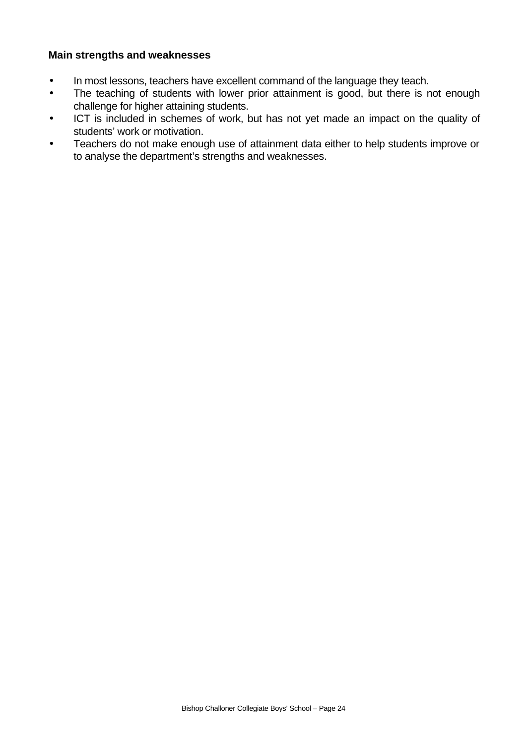#### **Main strengths and weaknesses**

- In most lessons, teachers have excellent command of the language they teach.
- The teaching of students with lower prior attainment is good, but there is not enough challenge for higher attaining students.
- ICT is included in schemes of work, but has not yet made an impact on the quality of students' work or motivation.
- Teachers do not make enough use of attainment data either to help students improve or to analyse the department's strengths and weaknesses.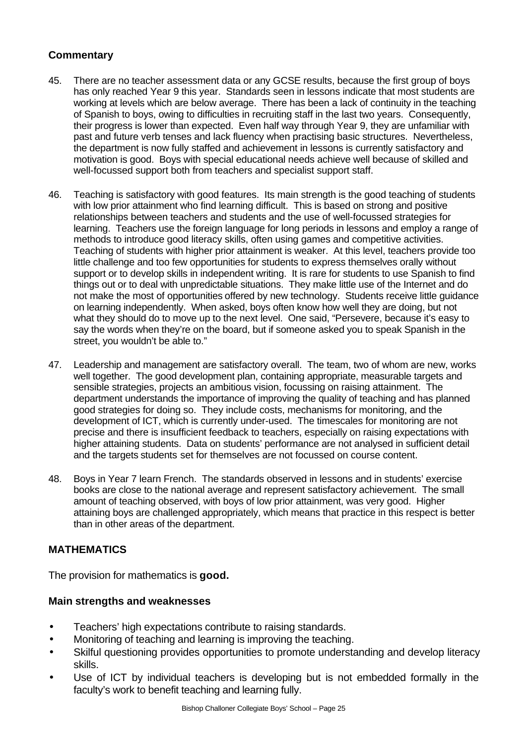## **Commentary**

- 45. There are no teacher assessment data or any GCSE results, because the first group of boys has only reached Year 9 this year. Standards seen in lessons indicate that most students are working at levels which are below average. There has been a lack of continuity in the teaching of Spanish to boys, owing to difficulties in recruiting staff in the last two years. Consequently, their progress is lower than expected. Even half way through Year 9, they are unfamiliar with past and future verb tenses and lack fluency when practising basic structures. Nevertheless, the department is now fully staffed and achievement in lessons is currently satisfactory and motivation is good. Boys with special educational needs achieve well because of skilled and well-focussed support both from teachers and specialist support staff.
- 46. Teaching is satisfactory with good features. Its main strength is the good teaching of students with low prior attainment who find learning difficult. This is based on strong and positive relationships between teachers and students and the use of well-focussed strategies for learning. Teachers use the foreign language for long periods in lessons and employ a range of methods to introduce good literacy skills, often using games and competitive activities. Teaching of students with higher prior attainment is weaker. At this level, teachers provide too little challenge and too few opportunities for students to express themselves orally without support or to develop skills in independent writing. It is rare for students to use Spanish to find things out or to deal with unpredictable situations. They make little use of the Internet and do not make the most of opportunities offered by new technology. Students receive little guidance on learning independently. When asked, boys often know how well they are doing, but not what they should do to move up to the next level. One said, "Persevere, because it's easy to say the words when they're on the board, but if someone asked you to speak Spanish in the street, you wouldn't be able to."
- 47. Leadership and management are satisfactory overall. The team, two of whom are new, works well together. The good development plan, containing appropriate, measurable targets and sensible strategies, projects an ambitious vision, focussing on raising attainment. The department understands the importance of improving the quality of teaching and has planned good strategies for doing so. They include costs, mechanisms for monitoring, and the development of ICT, which is currently under-used. The timescales for monitoring are not precise and there is insufficient feedback to teachers, especially on raising expectations with higher attaining students. Data on students' performance are not analysed in sufficient detail and the targets students set for themselves are not focussed on course content.
- 48. Boys in Year 7 learn French. The standards observed in lessons and in students' exercise books are close to the national average and represent satisfactory achievement. The small amount of teaching observed, with boys of low prior attainment, was very good. Higher attaining boys are challenged appropriately, which means that practice in this respect is better than in other areas of the department.

## **MATHEMATICS**

The provision for mathematics is **good.**

#### **Main strengths and weaknesses**

- Teachers' high expectations contribute to raising standards.
- Monitoring of teaching and learning is improving the teaching.
- Skilful questioning provides opportunities to promote understanding and develop literacy skills.
- Use of ICT by individual teachers is developing but is not embedded formally in the faculty's work to benefit teaching and learning fully.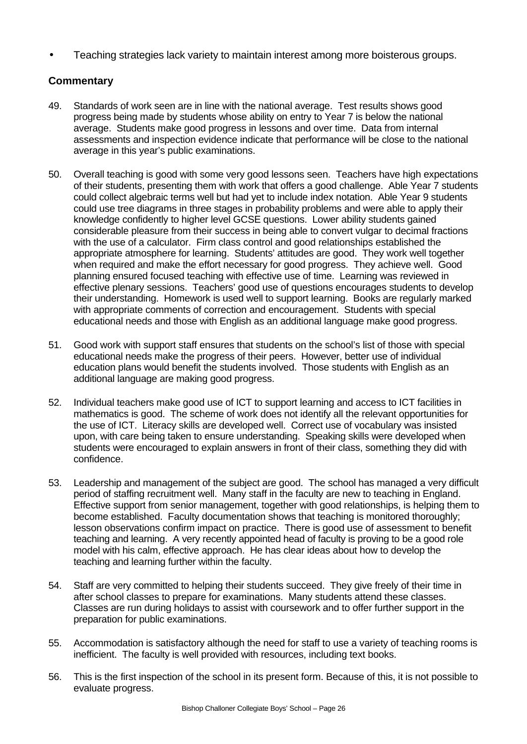• Teaching strategies lack variety to maintain interest among more boisterous groups.

- 49. Standards of work seen are in line with the national average. Test results shows good progress being made by students whose ability on entry to Year 7 is below the national average. Students make good progress in lessons and over time. Data from internal assessments and inspection evidence indicate that performance will be close to the national average in this year's public examinations.
- 50. Overall teaching is good with some very good lessons seen. Teachers have high expectations of their students, presenting them with work that offers a good challenge. Able Year 7 students could collect algebraic terms well but had yet to include index notation. Able Year 9 students could use tree diagrams in three stages in probability problems and were able to apply their knowledge confidently to higher level GCSE questions. Lower ability students gained considerable pleasure from their success in being able to convert vulgar to decimal fractions with the use of a calculator. Firm class control and good relationships established the appropriate atmosphere for learning. Students' attitudes are good. They work well together when required and make the effort necessary for good progress. They achieve well. Good planning ensured focused teaching with effective use of time. Learning was reviewed in effective plenary sessions. Teachers' good use of questions encourages students to develop their understanding. Homework is used well to support learning. Books are regularly marked with appropriate comments of correction and encouragement. Students with special educational needs and those with English as an additional language make good progress.
- 51. Good work with support staff ensures that students on the school's list of those with special educational needs make the progress of their peers. However, better use of individual education plans would benefit the students involved. Those students with English as an additional language are making good progress.
- 52. Individual teachers make good use of ICT to support learning and access to ICT facilities in mathematics is good. The scheme of work does not identify all the relevant opportunities for the use of ICT. Literacy skills are developed well. Correct use of vocabulary was insisted upon, with care being taken to ensure understanding. Speaking skills were developed when students were encouraged to explain answers in front of their class, something they did with confidence.
- 53. Leadership and management of the subject are good. The school has managed a very difficult period of staffing recruitment well. Many staff in the faculty are new to teaching in England. Effective support from senior management, together with good relationships, is helping them to become established. Faculty documentation shows that teaching is monitored thoroughly; lesson observations confirm impact on practice. There is good use of assessment to benefit teaching and learning. A very recently appointed head of faculty is proving to be a good role model with his calm, effective approach. He has clear ideas about how to develop the teaching and learning further within the faculty.
- 54. Staff are very committed to helping their students succeed. They give freely of their time in after school classes to prepare for examinations. Many students attend these classes. Classes are run during holidays to assist with coursework and to offer further support in the preparation for public examinations.
- 55. Accommodation is satisfactory although the need for staff to use a variety of teaching rooms is inefficient. The faculty is well provided with resources, including text books.
- 56. This is the first inspection of the school in its present form. Because of this, it is not possible to evaluate progress.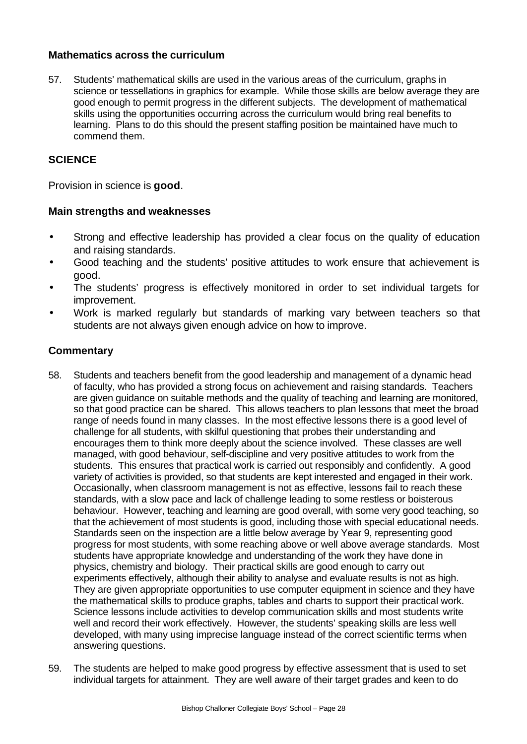#### **Mathematics across the curriculum**

57. Students' mathematical skills are used in the various areas of the curriculum, graphs in science or tessellations in graphics for example. While those skills are below average they are good enough to permit progress in the different subjects. The development of mathematical skills using the opportunities occurring across the curriculum would bring real benefits to learning. Plans to do this should the present staffing position be maintained have much to commend them.

#### **SCIENCE**

Provision in science is **good**.

#### **Main strengths and weaknesses**

- Strong and effective leadership has provided a clear focus on the quality of education and raising standards.
- Good teaching and the students' positive attitudes to work ensure that achievement is good.
- The students' progress is effectively monitored in order to set individual targets for improvement.
- Work is marked regularly but standards of marking vary between teachers so that students are not always given enough advice on how to improve.

- 58. Students and teachers benefit from the good leadership and management of a dynamic head of faculty, who has provided a strong focus on achievement and raising standards. Teachers are given guidance on suitable methods and the quality of teaching and learning are monitored, so that good practice can be shared. This allows teachers to plan lessons that meet the broad range of needs found in many classes. In the most effective lessons there is a good level of challenge for all students, with skilful questioning that probes their understanding and encourages them to think more deeply about the science involved. These classes are well managed, with good behaviour, self-discipline and very positive attitudes to work from the students. This ensures that practical work is carried out responsibly and confidently. A good variety of activities is provided, so that students are kept interested and engaged in their work. Occasionally, when classroom management is not as effective, lessons fail to reach these standards, with a slow pace and lack of challenge leading to some restless or boisterous behaviour. However, teaching and learning are good overall, with some very good teaching, so that the achievement of most students is good, including those with special educational needs. Standards seen on the inspection are a little below average by Year 9, representing good progress for most students, with some reaching above or well above average standards. Most students have appropriate knowledge and understanding of the work they have done in physics, chemistry and biology. Their practical skills are good enough to carry out experiments effectively, although their ability to analyse and evaluate results is not as high. They are given appropriate opportunities to use computer equipment in science and they have the mathematical skills to produce graphs, tables and charts to support their practical work. Science lessons include activities to develop communication skills and most students write well and record their work effectively. However, the students' speaking skills are less well developed, with many using imprecise language instead of the correct scientific terms when answering questions.
- 59. The students are helped to make good progress by effective assessment that is used to set individual targets for attainment. They are well aware of their target grades and keen to do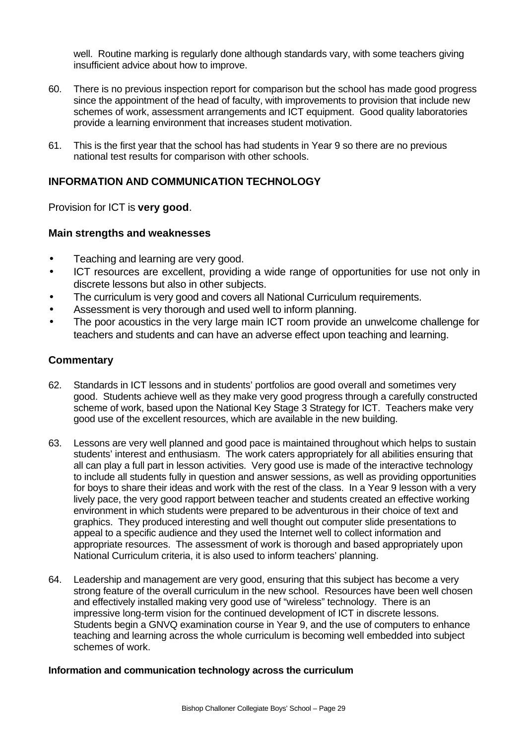well. Routine marking is regularly done although standards vary, with some teachers giving insufficient advice about how to improve.

- 60. There is no previous inspection report for comparison but the school has made good progress since the appointment of the head of faculty, with improvements to provision that include new schemes of work, assessment arrangements and ICT equipment. Good quality laboratories provide a learning environment that increases student motivation.
- 61. This is the first year that the school has had students in Year 9 so there are no previous national test results for comparison with other schools.

## **INFORMATION AND COMMUNICATION TECHNOLOGY**

Provision for ICT is **very good**.

#### **Main strengths and weaknesses**

- Teaching and learning are very good.
- ICT resources are excellent, providing a wide range of opportunities for use not only in discrete lessons but also in other subjects.
- The curriculum is very good and covers all National Curriculum requirements.
- Assessment is very thorough and used well to inform planning.
- The poor acoustics in the very large main ICT room provide an unwelcome challenge for teachers and students and can have an adverse effect upon teaching and learning.

#### **Commentary**

- 62. Standards in ICT lessons and in students' portfolios are good overall and sometimes very good. Students achieve well as they make very good progress through a carefully constructed scheme of work, based upon the National Key Stage 3 Strategy for ICT. Teachers make very good use of the excellent resources, which are available in the new building.
- 63. Lessons are very well planned and good pace is maintained throughout which helps to sustain students' interest and enthusiasm. The work caters appropriately for all abilities ensuring that all can play a full part in lesson activities. Very good use is made of the interactive technology to include all students fully in question and answer sessions, as well as providing opportunities for boys to share their ideas and work with the rest of the class. In a Year 9 lesson with a very lively pace, the very good rapport between teacher and students created an effective working environment in which students were prepared to be adventurous in their choice of text and graphics. They produced interesting and well thought out computer slide presentations to appeal to a specific audience and they used the Internet well to collect information and appropriate resources. The assessment of work is thorough and based appropriately upon National Curriculum criteria, it is also used to inform teachers' planning.
- 64. Leadership and management are very good, ensuring that this subject has become a very strong feature of the overall curriculum in the new school. Resources have been well chosen and effectively installed making very good use of "wireless" technology. There is an impressive long-term vision for the continued development of ICT in discrete lessons. Students begin a GNVQ examination course in Year 9, and the use of computers to enhance teaching and learning across the whole curriculum is becoming well embedded into subject schemes of work.

#### **Information and communication technology across the curriculum**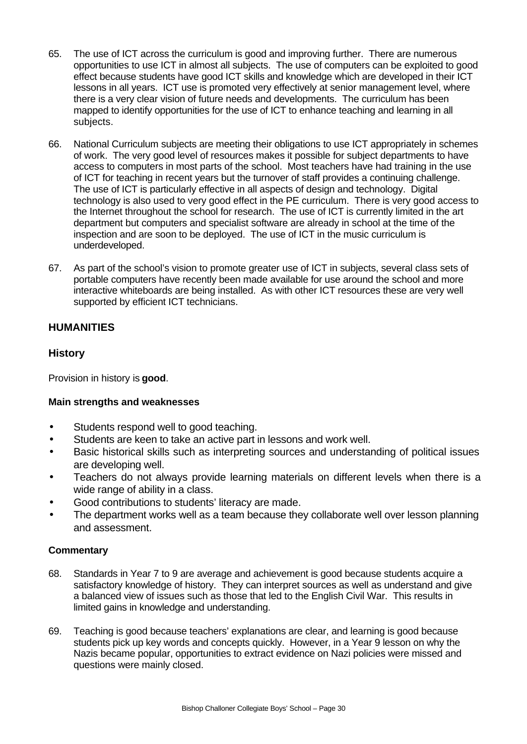- 65. The use of ICT across the curriculum is good and improving further. There are numerous opportunities to use ICT in almost all subjects. The use of computers can be exploited to good effect because students have good ICT skills and knowledge which are developed in their ICT lessons in all years. ICT use is promoted very effectively at senior management level, where there is a very clear vision of future needs and developments. The curriculum has been mapped to identify opportunities for the use of ICT to enhance teaching and learning in all subjects.
- 66. National Curriculum subjects are meeting their obligations to use ICT appropriately in schemes of work. The very good level of resources makes it possible for subject departments to have access to computers in most parts of the school. Most teachers have had training in the use of ICT for teaching in recent years but the turnover of staff provides a continuing challenge. The use of ICT is particularly effective in all aspects of design and technology. Digital technology is also used to very good effect in the PE curriculum. There is very good access to the Internet throughout the school for research. The use of ICT is currently limited in the art department but computers and specialist software are already in school at the time of the inspection and are soon to be deployed. The use of ICT in the music curriculum is underdeveloped.
- 67. As part of the school's vision to promote greater use of ICT in subjects, several class sets of portable computers have recently been made available for use around the school and more interactive whiteboards are being installed. As with other ICT resources these are very well supported by efficient ICT technicians.

## **HUMANITIES**

## **History**

Provision in history is **good**.

#### **Main strengths and weaknesses**

- Students respond well to good teaching.
- Students are keen to take an active part in lessons and work well.
- Basic historical skills such as interpreting sources and understanding of political issues are developing well.
- Teachers do not always provide learning materials on different levels when there is a wide range of ability in a class.
- Good contributions to students' literacy are made.
- The department works well as a team because they collaborate well over lesson planning and assessment.

- 68. Standards in Year 7 to 9 are average and achievement is good because students acquire a satisfactory knowledge of history. They can interpret sources as well as understand and give a balanced view of issues such as those that led to the English Civil War. This results in limited gains in knowledge and understanding.
- 69. Teaching is good because teachers' explanations are clear, and learning is good because students pick up key words and concepts quickly. However, in a Year 9 lesson on why the Nazis became popular, opportunities to extract evidence on Nazi policies were missed and questions were mainly closed.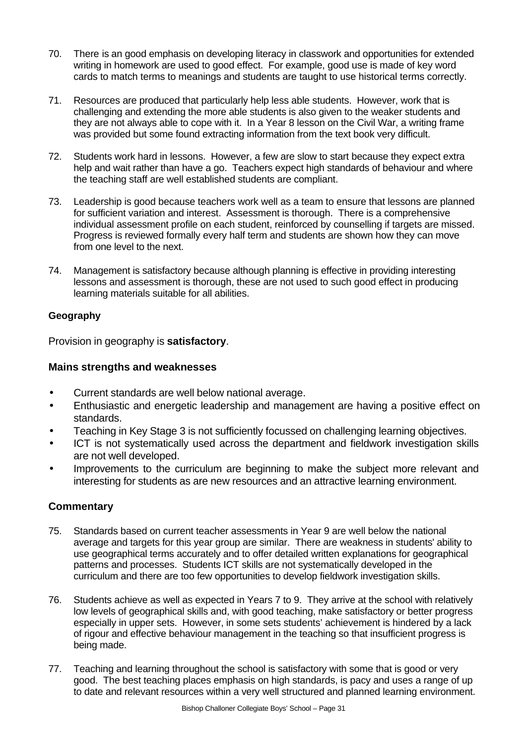- 70. There is an good emphasis on developing literacy in classwork and opportunities for extended writing in homework are used to good effect. For example, good use is made of key word cards to match terms to meanings and students are taught to use historical terms correctly.
- 71. Resources are produced that particularly help less able students. However, work that is challenging and extending the more able students is also given to the weaker students and they are not always able to cope with it. In a Year 8 lesson on the Civil War, a writing frame was provided but some found extracting information from the text book very difficult.
- 72. Students work hard in lessons. However, a few are slow to start because they expect extra help and wait rather than have a go. Teachers expect high standards of behaviour and where the teaching staff are well established students are compliant.
- 73. Leadership is good because teachers work well as a team to ensure that lessons are planned for sufficient variation and interest. Assessment is thorough. There is a comprehensive individual assessment profile on each student, reinforced by counselling if targets are missed. Progress is reviewed formally every half term and students are shown how they can move from one level to the next.
- 74. Management is satisfactory because although planning is effective in providing interesting lessons and assessment is thorough, these are not used to such good effect in producing learning materials suitable for all abilities.

## **Geography**

Provision in geography is **satisfactory**.

## **Mains strengths and weaknesses**

- Current standards are well below national average.
- Enthusiastic and energetic leadership and management are having a positive effect on standards.
- Teaching in Key Stage 3 is not sufficiently focussed on challenging learning objectives.
- ICT is not systematically used across the department and fieldwork investigation skills are not well developed.
- Improvements to the curriculum are beginning to make the subject more relevant and interesting for students as are new resources and an attractive learning environment.

- 75. Standards based on current teacher assessments in Year 9 are well below the national average and targets for this year group are similar. There are weakness in students' ability to use geographical terms accurately and to offer detailed written explanations for geographical patterns and processes. Students ICT skills are not systematically developed in the curriculum and there are too few opportunities to develop fieldwork investigation skills.
- 76. Students achieve as well as expected in Years 7 to 9. They arrive at the school with relatively low levels of geographical skills and, with good teaching, make satisfactory or better progress especially in upper sets. However, in some sets students' achievement is hindered by a lack of rigour and effective behaviour management in the teaching so that insufficient progress is being made.
- 77. Teaching and learning throughout the school is satisfactory with some that is good or very good. The best teaching places emphasis on high standards, is pacy and uses a range of up to date and relevant resources within a very well structured and planned learning environment.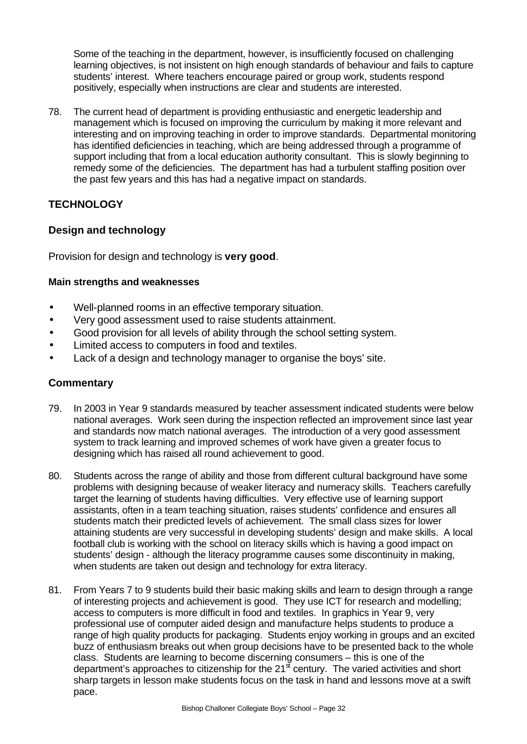Some of the teaching in the department, however, is insufficiently focused on challenging learning objectives, is not insistent on high enough standards of behaviour and fails to capture students' interest. Where teachers encourage paired or group work, students respond positively, especially when instructions are clear and students are interested.

78. The current head of department is providing enthusiastic and energetic leadership and management which is focused on improving the curriculum by making it more relevant and interesting and on improving teaching in order to improve standards. Departmental monitoring has identified deficiencies in teaching, which are being addressed through a programme of support including that from a local education authority consultant. This is slowly beginning to remedy some of the deficiencies. The department has had a turbulent staffing position over the past few years and this has had a negative impact on standards.

## **TECHNOLOGY**

#### **Design and technology**

Provision for design and technology is **very good**.

#### **Main strengths and weaknesses**

- Well-planned rooms in an effective temporary situation.
- Very good assessment used to raise students attainment.
- Good provision for all levels of ability through the school setting system.
- Limited access to computers in food and textiles.
- Lack of a design and technology manager to organise the boys' site.

- 79. In 2003 in Year 9 standards measured by teacher assessment indicated students were below national averages. Work seen during the inspection reflected an improvement since last year and standards now match national averages. The introduction of a very good assessment system to track learning and improved schemes of work have given a greater focus to designing which has raised all round achievement to good.
- 80. Students across the range of ability and those from different cultural background have some problems with designing because of weaker literacy and numeracy skills. Teachers carefully target the learning of students having difficulties. Very effective use of learning support assistants, often in a team teaching situation, raises students' confidence and ensures all students match their predicted levels of achievement. The small class sizes for lower attaining students are very successful in developing students' design and make skills. A local football club is working with the school on literacy skills which is having a good impact on students' design - although the literacy programme causes some discontinuity in making, when students are taken out design and technology for extra literacy.
- 81. From Years 7 to 9 students build their basic making skills and learn to design through a range of interesting projects and achievement is good. They use ICT for research and modelling; access to computers is more difficult in food and textiles. In graphics in Year 9, very professional use of computer aided design and manufacture helps students to produce a range of high quality products for packaging. Students enjoy working in groups and an excited buzz of enthusiasm breaks out when group decisions have to be presented back to the whole class. Students are learning to become discerning consumers – this is one of the department's approaches to citizenship for the  $21^{\frac{3}{5}}$  century. The varied activities and short sharp targets in lesson make students focus on the task in hand and lessons move at a swift pace.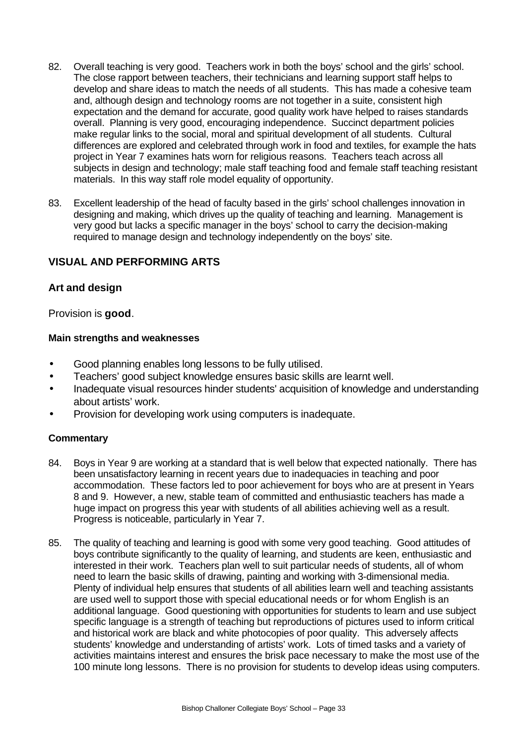- 82. Overall teaching is very good. Teachers work in both the boys' school and the girls' school. The close rapport between teachers, their technicians and learning support staff helps to develop and share ideas to match the needs of all students. This has made a cohesive team and, although design and technology rooms are not together in a suite, consistent high expectation and the demand for accurate, good quality work have helped to raises standards overall. Planning is very good, encouraging independence. Succinct department policies make regular links to the social, moral and spiritual development of all students. Cultural differences are explored and celebrated through work in food and textiles, for example the hats project in Year 7 examines hats worn for religious reasons. Teachers teach across all subjects in design and technology; male staff teaching food and female staff teaching resistant materials. In this way staff role model equality of opportunity.
- 83. Excellent leadership of the head of faculty based in the girls' school challenges innovation in designing and making, which drives up the quality of teaching and learning. Management is very good but lacks a specific manager in the boys' school to carry the decision-making required to manage design and technology independently on the boys' site.

#### **VISUAL AND PERFORMING ARTS**

#### **Art and design**

Provision is **good**.

#### **Main strengths and weaknesses**

- Good planning enables long lessons to be fully utilised.
- Teachers' good subject knowledge ensures basic skills are learnt well.
- Inadequate visual resources hinder students' acquisition of knowledge and understanding about artists' work.
- Provision for developing work using computers is inadequate.

- 84. Boys in Year 9 are working at a standard that is well below that expected nationally. There has been unsatisfactory learning in recent years due to inadequacies in teaching and poor accommodation. These factors led to poor achievement for boys who are at present in Years 8 and 9. However, a new, stable team of committed and enthusiastic teachers has made a huge impact on progress this year with students of all abilities achieving well as a result. Progress is noticeable, particularly in Year 7.
- 85. The quality of teaching and learning is good with some very good teaching. Good attitudes of boys contribute significantly to the quality of learning, and students are keen, enthusiastic and interested in their work. Teachers plan well to suit particular needs of students, all of whom need to learn the basic skills of drawing, painting and working with 3-dimensional media. Plenty of individual help ensures that students of all abilities learn well and teaching assistants are used well to support those with special educational needs or for whom English is an additional language. Good questioning with opportunities for students to learn and use subject specific language is a strength of teaching but reproductions of pictures used to inform critical and historical work are black and white photocopies of poor quality. This adversely affects students' knowledge and understanding of artists' work. Lots of timed tasks and a variety of activities maintains interest and ensures the brisk pace necessary to make the most use of the 100 minute long lessons. There is no provision for students to develop ideas using computers.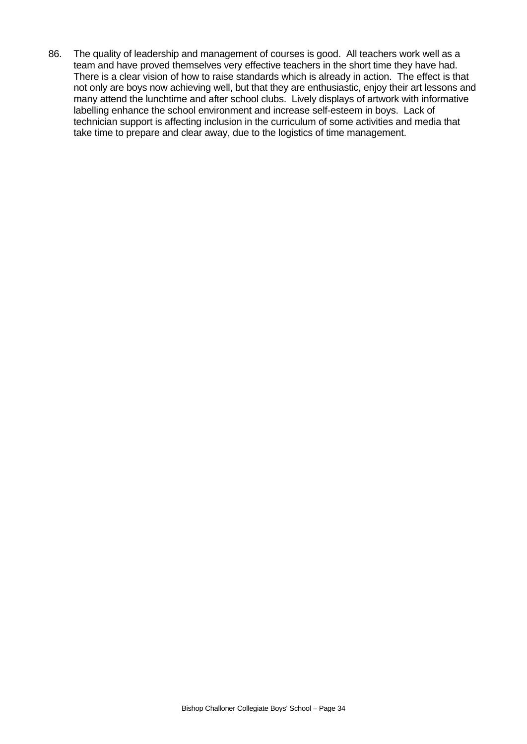86. The quality of leadership and management of courses is good. All teachers work well as a team and have proved themselves very effective teachers in the short time they have had. There is a clear vision of how to raise standards which is already in action. The effect is that not only are boys now achieving well, but that they are enthusiastic, enjoy their art lessons and many attend the lunchtime and after school clubs. Lively displays of artwork with informative labelling enhance the school environment and increase self-esteem in boys. Lack of technician support is affecting inclusion in the curriculum of some activities and media that take time to prepare and clear away, due to the logistics of time management.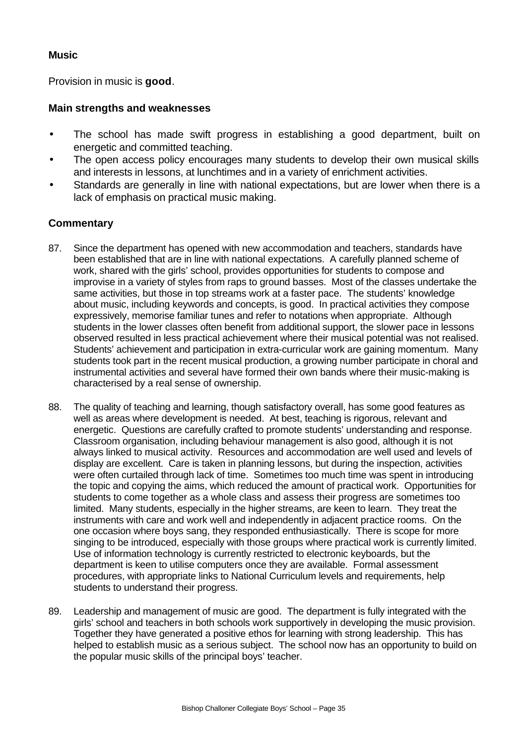### **Music**

Provision in music is **good**.

#### **Main strengths and weaknesses**

- The school has made swift progress in establishing a good department, built on energetic and committed teaching.
- The open access policy encourages many students to develop their own musical skills and interests in lessons, at lunchtimes and in a variety of enrichment activities.
- Standards are generally in line with national expectations, but are lower when there is a lack of emphasis on practical music making.

- 87. Since the department has opened with new accommodation and teachers, standards have been established that are in line with national expectations. A carefully planned scheme of work, shared with the girls' school, provides opportunities for students to compose and improvise in a variety of styles from raps to ground basses. Most of the classes undertake the same activities, but those in top streams work at a faster pace. The students' knowledge about music, including keywords and concepts, is good. In practical activities they compose expressively, memorise familiar tunes and refer to notations when appropriate. Although students in the lower classes often benefit from additional support, the slower pace in lessons observed resulted in less practical achievement where their musical potential was not realised. Students' achievement and participation in extra-curricular work are gaining momentum. Many students took part in the recent musical production, a growing number participate in choral and instrumental activities and several have formed their own bands where their music-making is characterised by a real sense of ownership.
- 88. The quality of teaching and learning, though satisfactory overall, has some good features as well as areas where development is needed. At best, teaching is rigorous, relevant and energetic. Questions are carefully crafted to promote students' understanding and response. Classroom organisation, including behaviour management is also good, although it is not always linked to musical activity. Resources and accommodation are well used and levels of display are excellent. Care is taken in planning lessons, but during the inspection, activities were often curtailed through lack of time. Sometimes too much time was spent in introducing the topic and copying the aims, which reduced the amount of practical work. Opportunities for students to come together as a whole class and assess their progress are sometimes too limited. Many students, especially in the higher streams, are keen to learn. They treat the instruments with care and work well and independently in adjacent practice rooms. On the one occasion where boys sang, they responded enthusiastically. There is scope for more singing to be introduced, especially with those groups where practical work is currently limited. Use of information technology is currently restricted to electronic keyboards, but the department is keen to utilise computers once they are available. Formal assessment procedures, with appropriate links to National Curriculum levels and requirements, help students to understand their progress.
- 89. Leadership and management of music are good. The department is fully integrated with the girls' school and teachers in both schools work supportively in developing the music provision. Together they have generated a positive ethos for learning with strong leadership. This has helped to establish music as a serious subject. The school now has an opportunity to build on the popular music skills of the principal boys' teacher.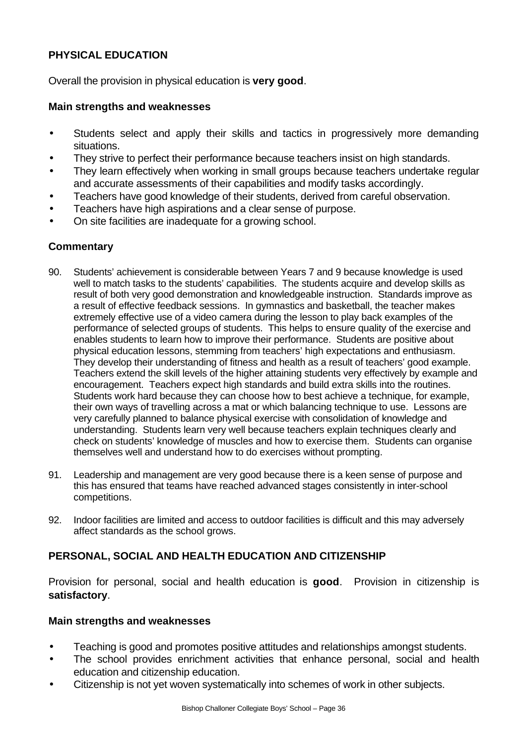## **PHYSICAL EDUCATION**

Overall the provision in physical education is **very good**.

## **Main strengths and weaknesses**

- Students select and apply their skills and tactics in progressively more demanding situations.
- They strive to perfect their performance because teachers insist on high standards.
- They learn effectively when working in small groups because teachers undertake regular and accurate assessments of their capabilities and modify tasks accordingly.
- Teachers have good knowledge of their students, derived from careful observation.
- Teachers have high aspirations and a clear sense of purpose.
- On site facilities are inadequate for a growing school.

## **Commentary**

- 90. Students' achievement is considerable between Years 7 and 9 because knowledge is used well to match tasks to the students' capabilities. The students acquire and develop skills as result of both very good demonstration and knowledgeable instruction. Standards improve as a result of effective feedback sessions. In gymnastics and basketball, the teacher makes extremely effective use of a video camera during the lesson to play back examples of the performance of selected groups of students. This helps to ensure quality of the exercise and enables students to learn how to improve their performance. Students are positive about physical education lessons, stemming from teachers' high expectations and enthusiasm. They develop their understanding of fitness and health as a result of teachers' good example. Teachers extend the skill levels of the higher attaining students very effectively by example and encouragement. Teachers expect high standards and build extra skills into the routines. Students work hard because they can choose how to best achieve a technique, for example, their own ways of travelling across a mat or which balancing technique to use. Lessons are very carefully planned to balance physical exercise with consolidation of knowledge and understanding. Students learn very well because teachers explain techniques clearly and check on students' knowledge of muscles and how to exercise them. Students can organise themselves well and understand how to do exercises without prompting.
- 91. Leadership and management are very good because there is a keen sense of purpose and this has ensured that teams have reached advanced stages consistently in inter-school competitions.
- 92. Indoor facilities are limited and access to outdoor facilities is difficult and this may adversely affect standards as the school grows.

## **PERSONAL, SOCIAL AND HEALTH EDUCATION AND CITIZENSHIP**

Provision for personal, social and health education is **good**.Provision in citizenship is **satisfactory**.

#### **Main strengths and weaknesses**

- Teaching is good and promotes positive attitudes and relationships amongst students.
- The school provides enrichment activities that enhance personal, social and health education and citizenship education.
- Citizenship is not yet woven systematically into schemes of work in other subjects.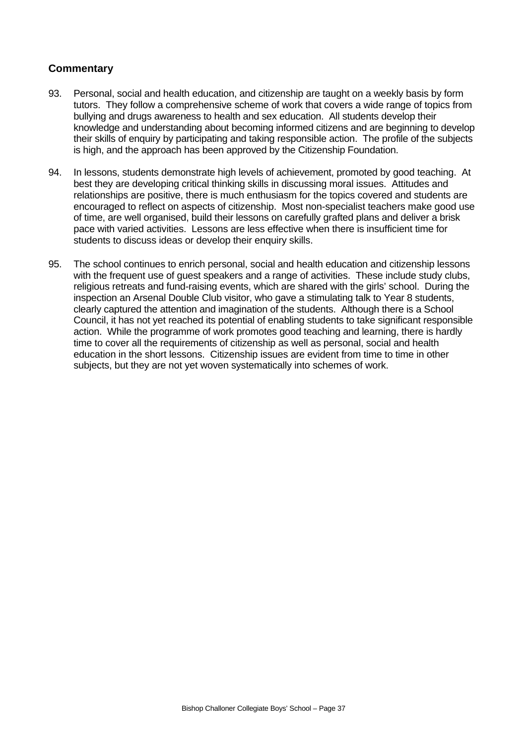- 93. Personal, social and health education, and citizenship are taught on a weekly basis by form tutors. They follow a comprehensive scheme of work that covers a wide range of topics from bullying and drugs awareness to health and sex education. All students develop their knowledge and understanding about becoming informed citizens and are beginning to develop their skills of enquiry by participating and taking responsible action. The profile of the subjects is high, and the approach has been approved by the Citizenship Foundation.
- 94. In lessons, students demonstrate high levels of achievement, promoted by good teaching. At best they are developing critical thinking skills in discussing moral issues. Attitudes and relationships are positive, there is much enthusiasm for the topics covered and students are encouraged to reflect on aspects of citizenship. Most non-specialist teachers make good use of time, are well organised, build their lessons on carefully grafted plans and deliver a brisk pace with varied activities. Lessons are less effective when there is insufficient time for students to discuss ideas or develop their enquiry skills.
- 95. The school continues to enrich personal, social and health education and citizenship lessons with the frequent use of guest speakers and a range of activities. These include study clubs, religious retreats and fund-raising events, which are shared with the girls' school. During the inspection an Arsenal Double Club visitor, who gave a stimulating talk to Year 8 students, clearly captured the attention and imagination of the students. Although there is a School Council, it has not yet reached its potential of enabling students to take significant responsible action. While the programme of work promotes good teaching and learning, there is hardly time to cover all the requirements of citizenship as well as personal, social and health education in the short lessons. Citizenship issues are evident from time to time in other subjects, but they are not yet woven systematically into schemes of work.